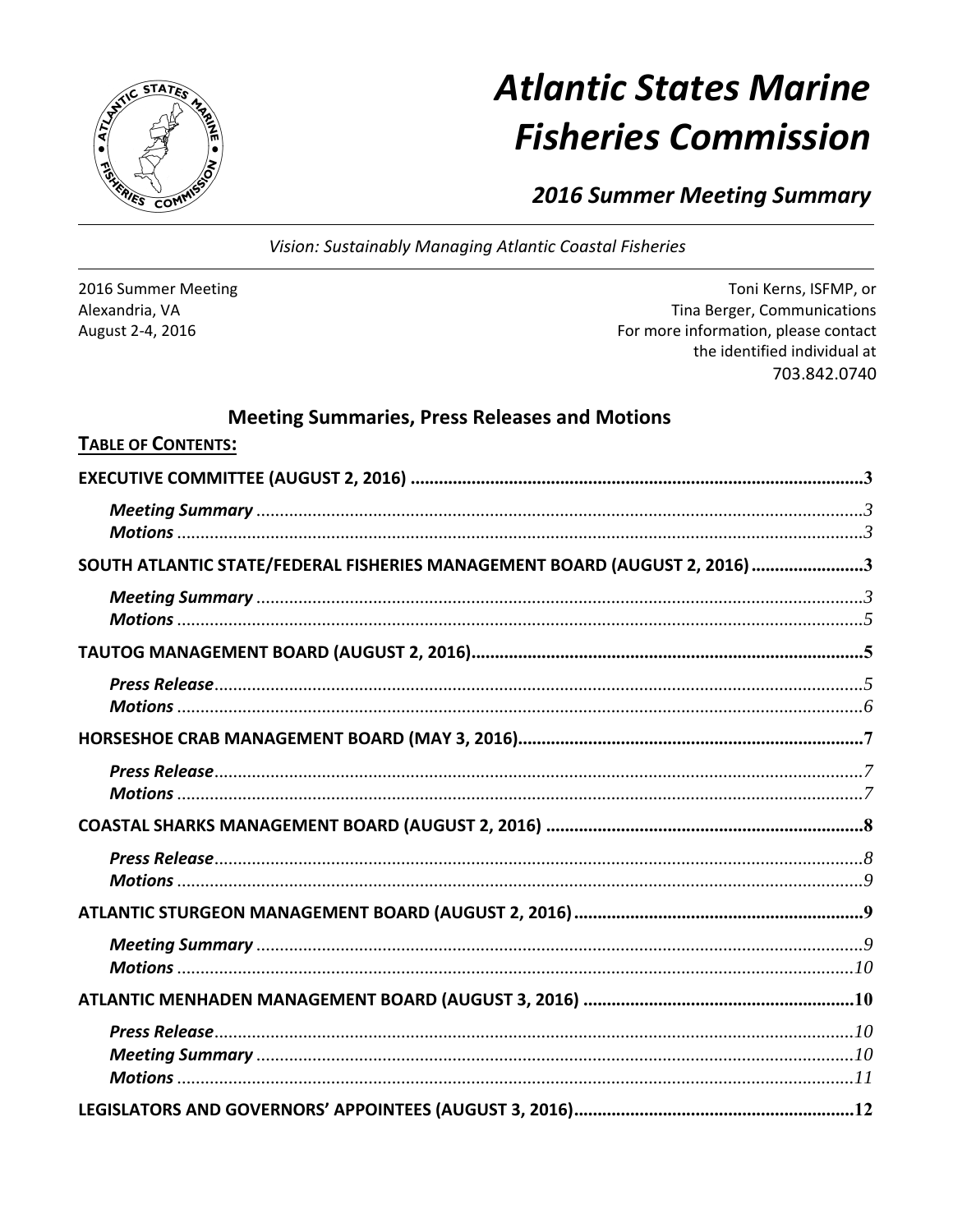**Atlantic States Marine Fisheries Commission** 

**2016 Summer Meeting Summary** 

Vision: Sustainably Managing Atlantic Coastal Fisheries

2016 Summer Meeting Alexandria, VA August 2-4, 2016

Toni Kerns, ISFMP, or Tina Berger, Communications For more information, please contact the identified individual at 703.842.0740

# **Meeting Summaries, Press Releases and Motions**

| <b>I ABLE OF CONTENTS:</b>                                                 |  |
|----------------------------------------------------------------------------|--|
|                                                                            |  |
|                                                                            |  |
|                                                                            |  |
| SOUTH ATLANTIC STATE/FEDERAL FISHERIES MANAGEMENT BOARD (AUGUST 2, 2016) 3 |  |
|                                                                            |  |
|                                                                            |  |
|                                                                            |  |
|                                                                            |  |
|                                                                            |  |
|                                                                            |  |
|                                                                            |  |
|                                                                            |  |
|                                                                            |  |
|                                                                            |  |
|                                                                            |  |
|                                                                            |  |
|                                                                            |  |
|                                                                            |  |
|                                                                            |  |
|                                                                            |  |
|                                                                            |  |
|                                                                            |  |
|                                                                            |  |

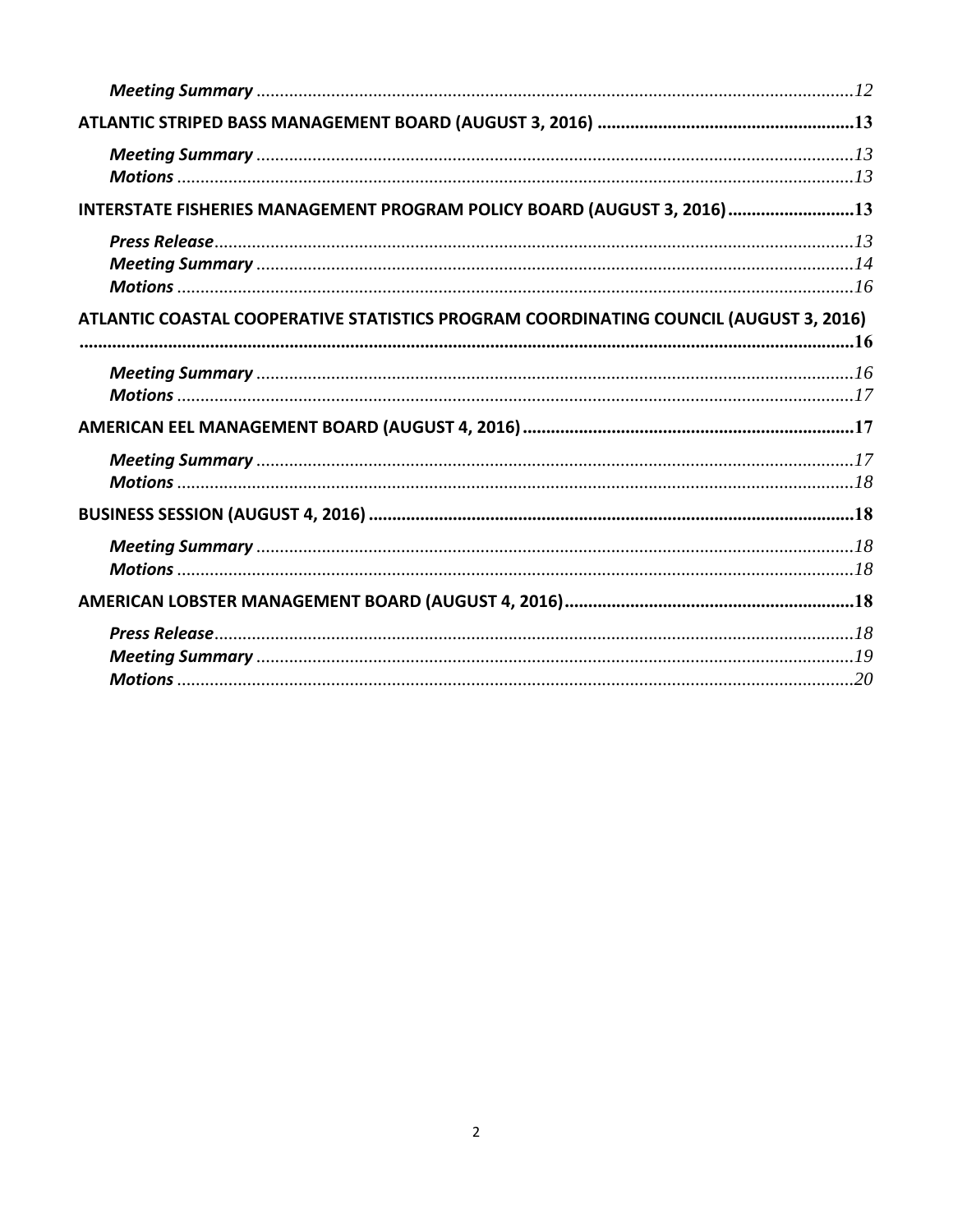| INTERSTATE FISHERIES MANAGEMENT PROGRAM POLICY BOARD (AUGUST 3, 2016)13               |  |
|---------------------------------------------------------------------------------------|--|
|                                                                                       |  |
|                                                                                       |  |
| ATLANTIC COASTAL COOPERATIVE STATISTICS PROGRAM COORDINATING COUNCIL (AUGUST 3, 2016) |  |
|                                                                                       |  |
|                                                                                       |  |
|                                                                                       |  |
|                                                                                       |  |
|                                                                                       |  |
|                                                                                       |  |
|                                                                                       |  |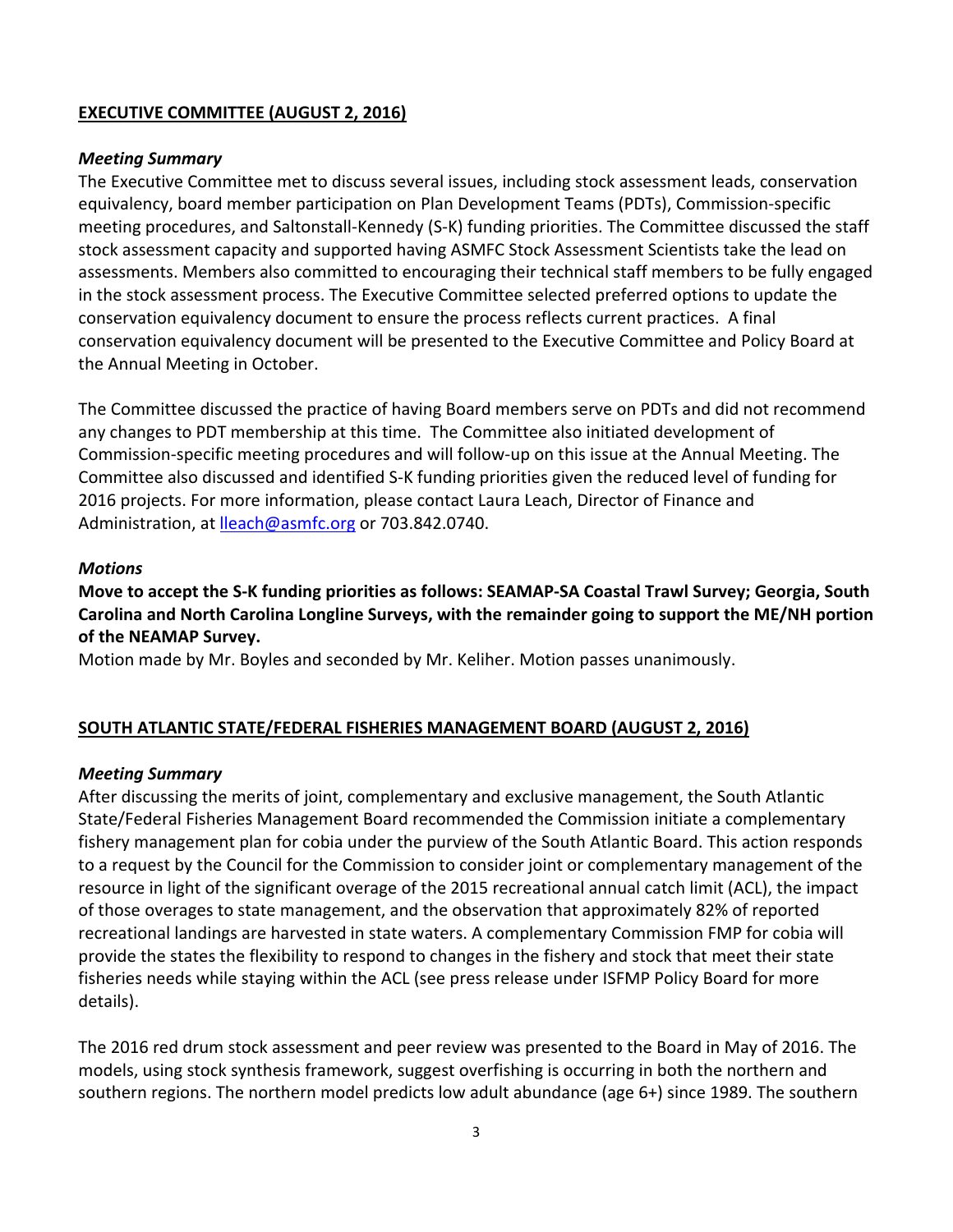### **EXECUTIVE COMMITTEE (AUGUST 2, 2016)**

#### *Meeting Summary*

The Executive Committee met to discuss several issues, including stock assessment leads, conservation equivalency, board member participation on Plan Development Teams (PDTs), Commission‐specific meeting procedures, and Saltonstall-Kennedy (S-K) funding priorities. The Committee discussed the staff stock assessment capacity and supported having ASMFC Stock Assessment Scientists take the lead on assessments. Members also committed to encouraging their technical staff members to be fully engaged in the stock assessment process. The Executive Committee selected preferred options to update the conservation equivalency document to ensure the process reflects current practices. A final conservation equivalency document will be presented to the Executive Committee and Policy Board at the Annual Meeting in October.

The Committee discussed the practice of having Board members serve on PDTs and did not recommend any changes to PDT membership at this time. The Committee also initiated development of Commission‐specific meeting procedures and will follow‐up on this issue at the Annual Meeting. The Committee also discussed and identified S‐K funding priorities given the reduced level of funding for 2016 projects. For more information, please contact Laura Leach, Director of Finance and Administration, at lleach@asmfc.org or 703.842.0740.

#### *Motions*

Move to accept the S-K funding priorities as follows: SEAMAP-SA Coastal Trawl Survey; Georgia, South **Carolina and North Carolina Longline Surveys, with the remainder going to support the ME/NH portion of the NEAMAP Survey.**

Motion made by Mr. Boyles and seconded by Mr. Keliher. Motion passes unanimously.

# **SOUTH ATLANTIC STATE/FEDERAL FISHERIES MANAGEMENT BOARD (AUGUST 2, 2016)**

#### *Meeting Summary*

After discussing the merits of joint, complementary and exclusive management, the South Atlantic State/Federal Fisheries Management Board recommended the Commission initiate a complementary fishery management plan for cobia under the purview of the South Atlantic Board. This action responds to a request by the Council for the Commission to consider joint or complementary management of the resource in light of the significant overage of the 2015 recreational annual catch limit (ACL), the impact of those overages to state management, and the observation that approximately 82% of reported recreational landings are harvested in state waters. A complementary Commission FMP for cobia will provide the states the flexibility to respond to changes in the fishery and stock that meet their state fisheries needs while staying within the ACL (see press release under ISFMP Policy Board for more details).

The 2016 red drum stock assessment and peer review was presented to the Board in May of 2016. The models, using stock synthesis framework, suggest overfishing is occurring in both the northern and southern regions. The northern model predicts low adult abundance (age 6+) since 1989. The southern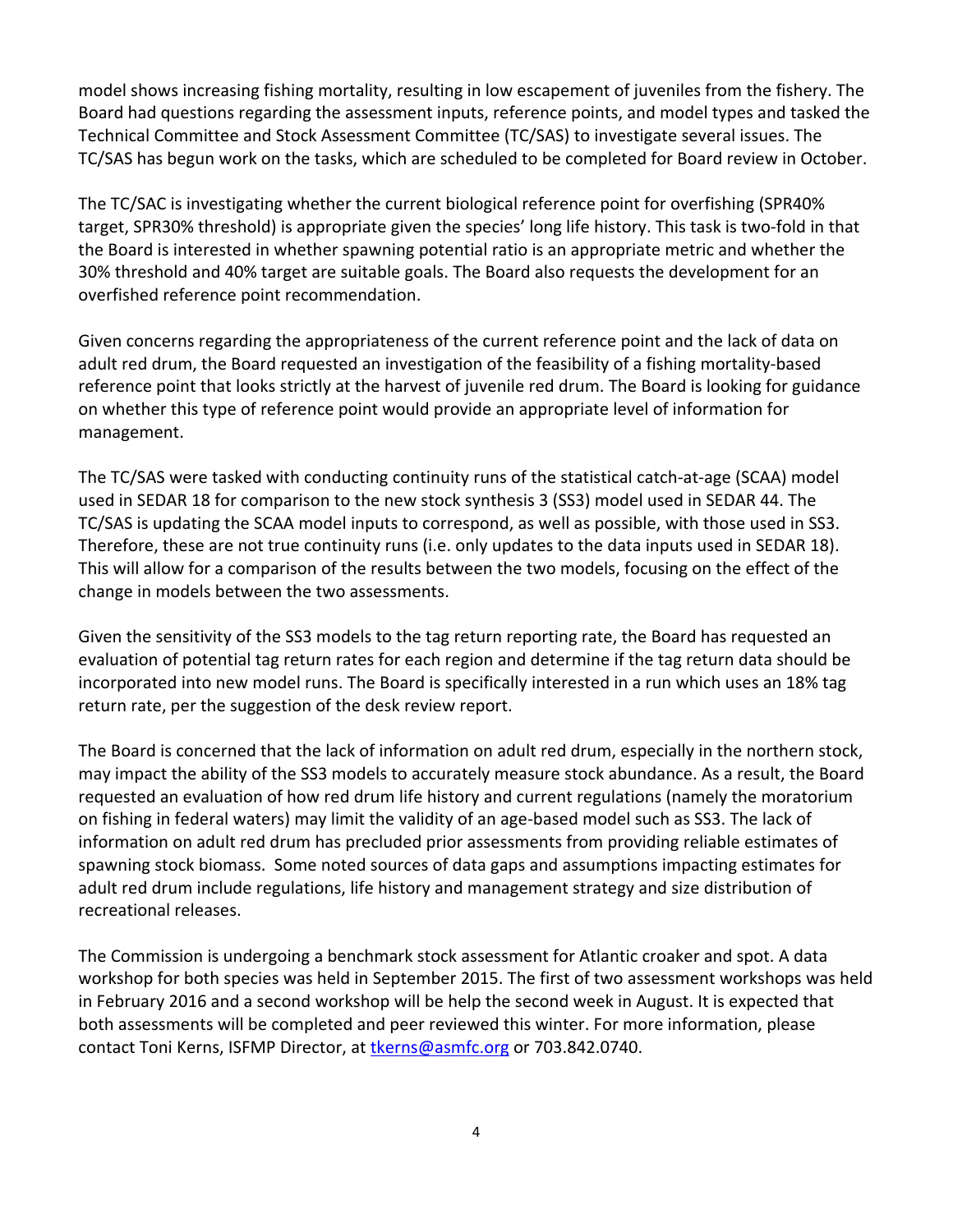model shows increasing fishing mortality, resulting in low escapement of juveniles from the fishery. The Board had questions regarding the assessment inputs, reference points, and model types and tasked the Technical Committee and Stock Assessment Committee (TC/SAS) to investigate several issues. The TC/SAS has begun work on the tasks, which are scheduled to be completed for Board review in October.

The TC/SAC is investigating whether the current biological reference point for overfishing (SPR40% target, SPR30% threshold) is appropriate given the species' long life history. This task is two‐fold in that the Board is interested in whether spawning potential ratio is an appropriate metric and whether the 30% threshold and 40% target are suitable goals. The Board also requests the development for an overfished reference point recommendation.

Given concerns regarding the appropriateness of the current reference point and the lack of data on adult red drum, the Board requested an investigation of the feasibility of a fishing mortality‐based reference point that looks strictly at the harvest of juvenile red drum. The Board is looking for guidance on whether this type of reference point would provide an appropriate level of information for management.

The TC/SAS were tasked with conducting continuity runs of the statistical catch‐at‐age (SCAA) model used in SEDAR 18 for comparison to the new stock synthesis 3 (SS3) model used in SEDAR 44. The TC/SAS is updating the SCAA model inputs to correspond, as well as possible, with those used in SS3. Therefore, these are not true continuity runs (i.e. only updates to the data inputs used in SEDAR 18). This will allow for a comparison of the results between the two models, focusing on the effect of the change in models between the two assessments.

Given the sensitivity of the SS3 models to the tag return reporting rate, the Board has requested an evaluation of potential tag return rates for each region and determine if the tag return data should be incorporated into new model runs. The Board is specifically interested in a run which uses an 18% tag return rate, per the suggestion of the desk review report.

The Board is concerned that the lack of information on adult red drum, especially in the northern stock, may impact the ability of the SS3 models to accurately measure stock abundance. As a result, the Board requested an evaluation of how red drum life history and current regulations (namely the moratorium on fishing in federal waters) may limit the validity of an age-based model such as SS3. The lack of information on adult red drum has precluded prior assessments from providing reliable estimates of spawning stock biomass. Some noted sources of data gaps and assumptions impacting estimates for adult red drum include regulations, life history and management strategy and size distribution of recreational releases.

The Commission is undergoing a benchmark stock assessment for Atlantic croaker and spot. A data workshop for both species was held in September 2015. The first of two assessment workshops was held in February 2016 and a second workshop will be help the second week in August. It is expected that both assessments will be completed and peer reviewed this winter. For more information, please contact Toni Kerns, ISFMP Director, at the rns@asmfc.org or 703.842.0740.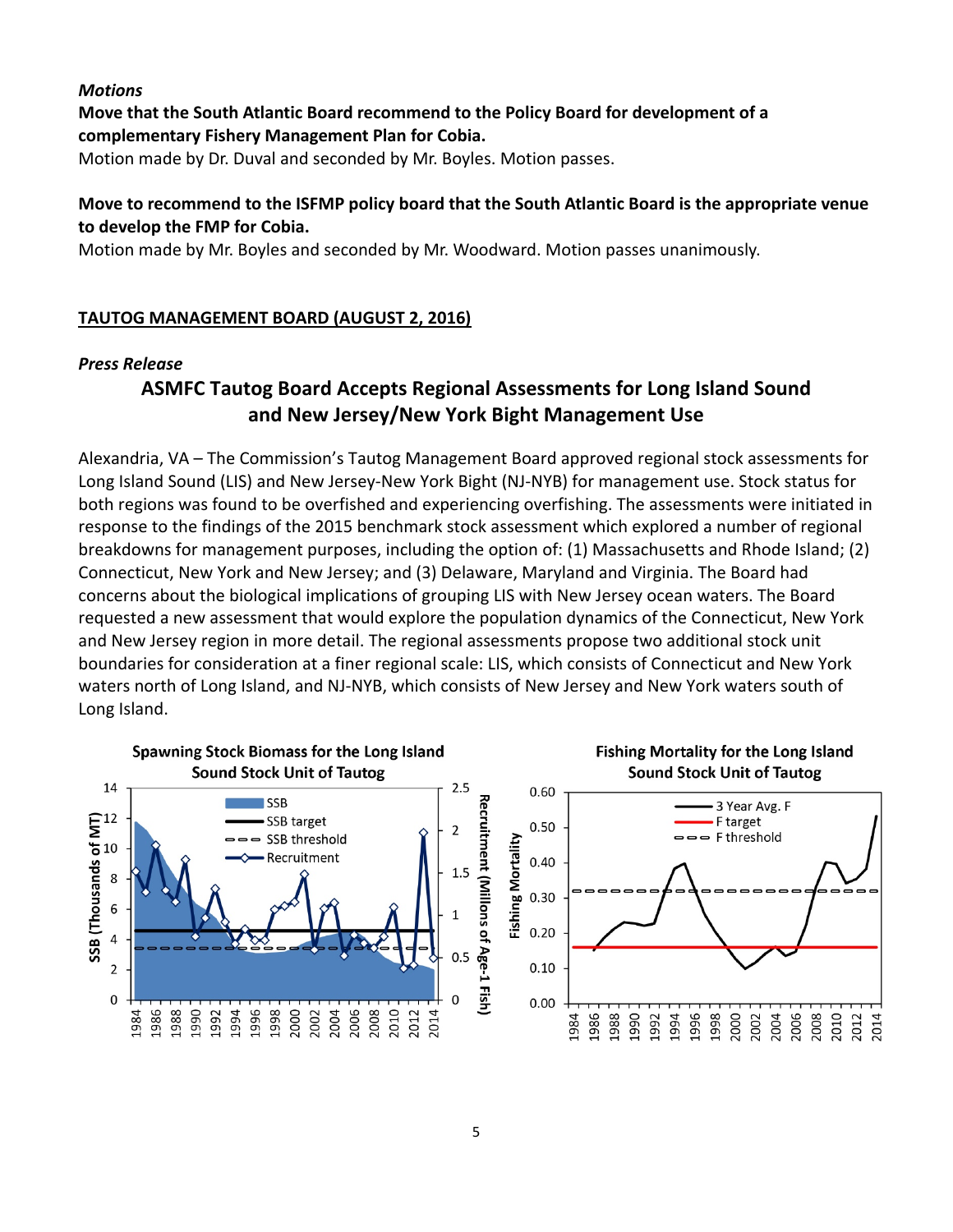### *Motions*

# **Move that the South Atlantic Board recommend to the Policy Board for development of a complementary Fishery Management Plan for Cobia.**

Motion made by Dr. Duval and seconded by Mr. Boyles. Motion passes.

# **Move to recommend to the ISFMP policy board that the South Atlantic Board is the appropriate venue to develop the FMP for Cobia.**

Motion made by Mr. Boyles and seconded by Mr. Woodward. Motion passes unanimously.

# **TAUTOG MANAGEMENT BOARD (AUGUST 2, 2016)**

# *Press Release*

# **ASMFC Tautog Board Accepts Regional Assessments for Long Island Sound and New Jersey/New York Bight Management Use**

Alexandria, VA – The Commission's Tautog Management Board approved regional stock assessments for Long Island Sound (LIS) and New Jersey‐New York Bight (NJ‐NYB) for management use. Stock status for both regions was found to be overfished and experiencing overfishing. The assessments were initiated in response to the findings of the 2015 benchmark stock assessment which explored a number of regional breakdowns for management purposes, including the option of: (1) Massachusetts and Rhode Island; (2) Connecticut, New York and New Jersey; and (3) Delaware, Maryland and Virginia. The Board had concerns about the biological implications of grouping LIS with New Jersey ocean waters. The Board requested a new assessment that would explore the population dynamics of the Connecticut, New York and New Jersey region in more detail. The regional assessments propose two additional stock unit boundaries for consideration at a finer regional scale: LIS, which consists of Connecticut and New York waters north of Long Island, and NJ‐NYB, which consists of New Jersey and New York waters south of Long Island.

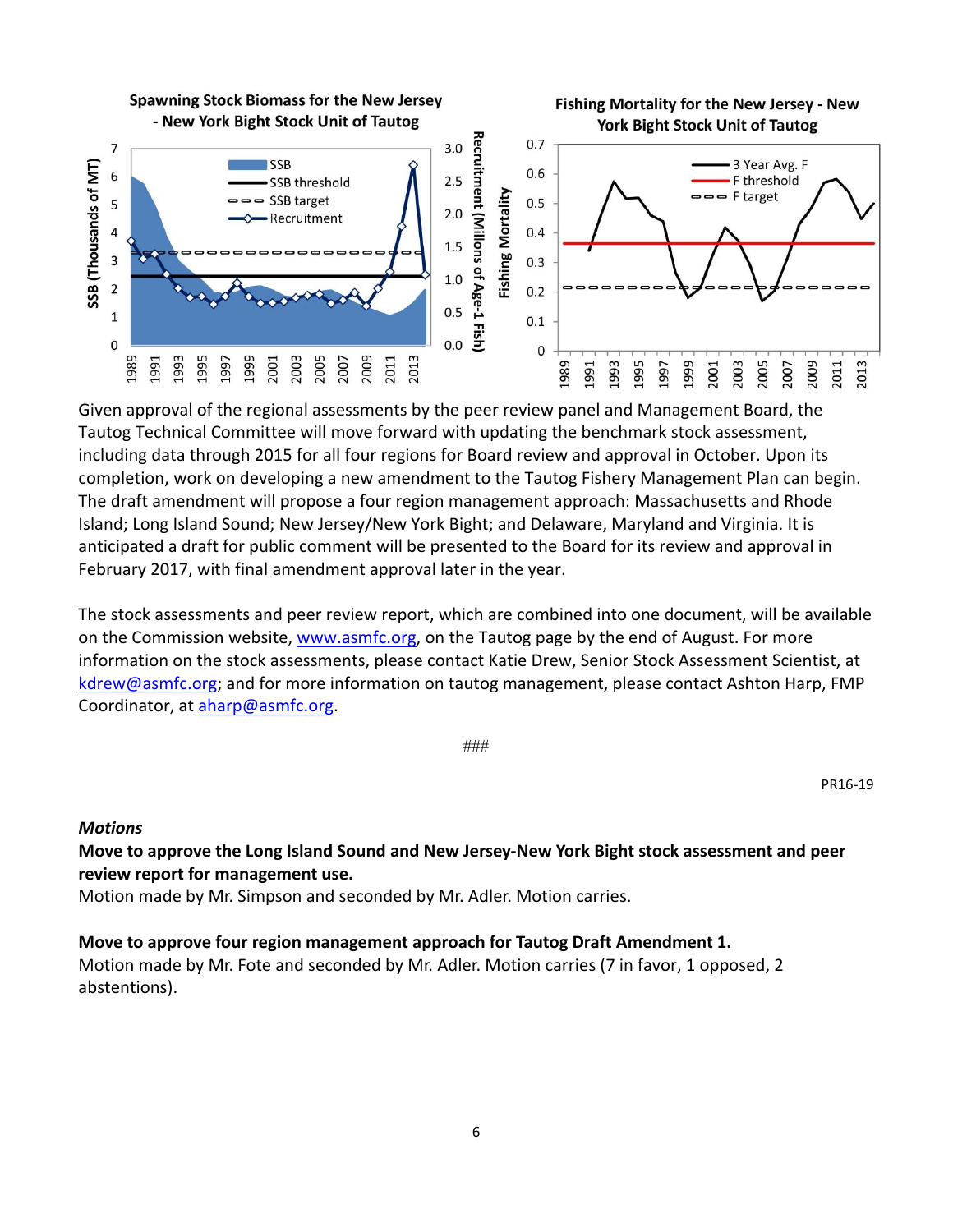

Given approval of the regional assessments by the peer review panel and Management Board, the Tautog Technical Committee will move forward with updating the benchmark stock assessment, including data through 2015 for all four regions for Board review and approval in October. Upon its completion, work on developing a new amendment to the Tautog Fishery Management Plan can begin. The draft amendment will propose a four region management approach: Massachusetts and Rhode Island; Long Island Sound; New Jersey/New York Bight; and Delaware, Maryland and Virginia. It is anticipated a draft for public comment will be presented to the Board for its review and approval in February 2017, with final amendment approval later in the year.

The stock assessments and peer review report, which are combined into one document, will be available on the Commission website, www.asmfc.org, on the Tautog page by the end of August. For more information on the stock assessments, please contact Katie Drew, Senior Stock Assessment Scientist, at kdrew@asmfc.org; and for more information on tautog management, please contact Ashton Harp, FMP Coordinator, at aharp@asmfc.org.

###

PR16‐19

#### *Motions*

**Move to approve the Long Island Sound and New Jersey‐New York Bight stock assessment and peer review report for management use.** 

Motion made by Mr. Simpson and seconded by Mr. Adler. Motion carries.

**Move to approve four region management approach for Tautog Draft Amendment 1.**  Motion made by Mr. Fote and seconded by Mr. Adler. Motion carries (7 in favor, 1 opposed, 2 abstentions).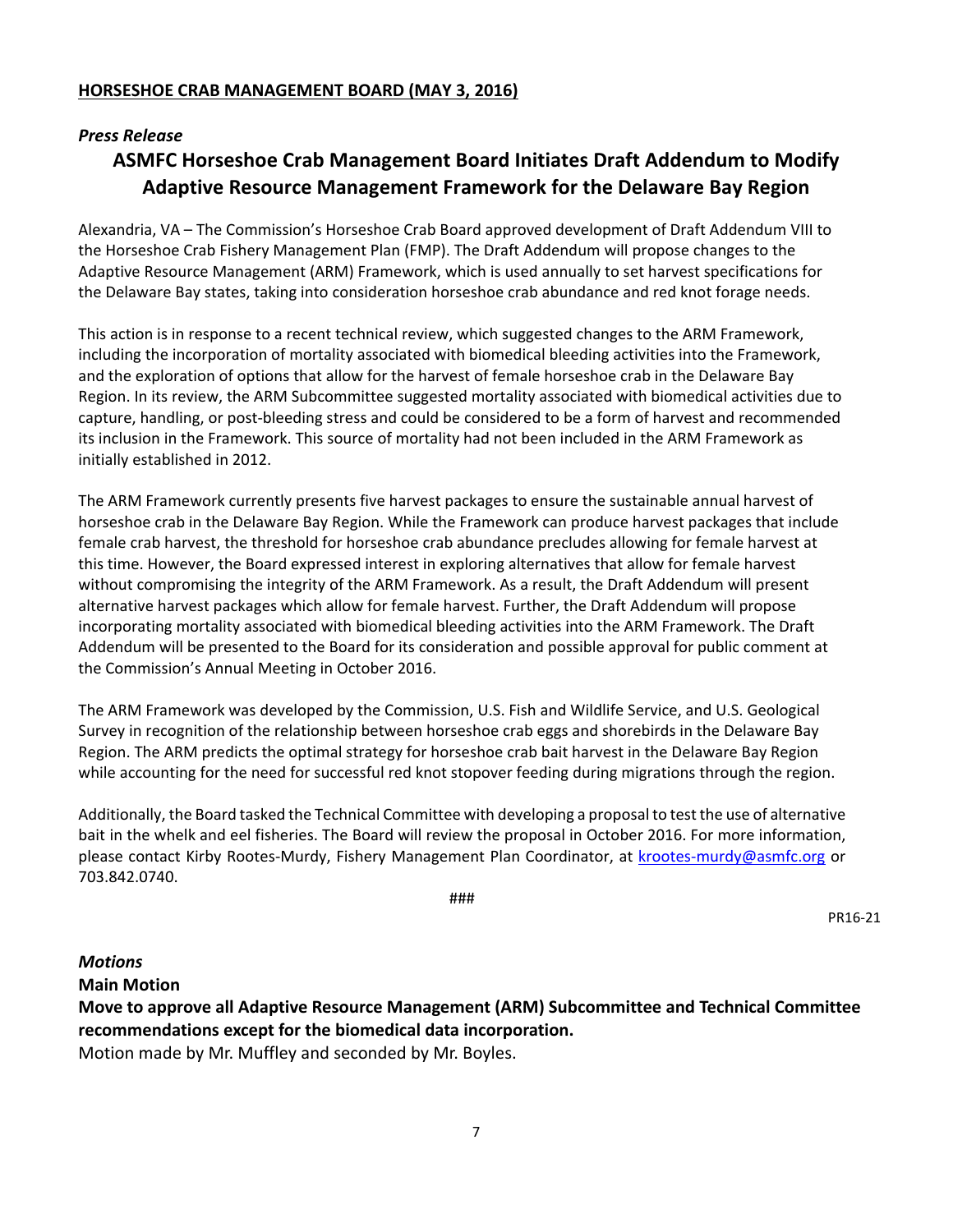#### **HORSESHOE CRAB MANAGEMENT BOARD (MAY 3, 2016)**

#### *Press Release*

# **ASMFC Horseshoe Crab Management Board Initiates Draft Addendum to Modify Adaptive Resource Management Framework for the Delaware Bay Region**

Alexandria, VA – The Commission's Horseshoe Crab Board approved development of Draft Addendum VIII to the Horseshoe Crab Fishery Management Plan (FMP). The Draft Addendum will propose changes to the Adaptive Resource Management (ARM) Framework, which is used annually to set harvest specifications for the Delaware Bay states, taking into consideration horseshoe crab abundance and red knot forage needs.

This action is in response to a recent technical review, which suggested changes to the ARM Framework, including the incorporation of mortality associated with biomedical bleeding activities into the Framework, and the exploration of options that allow for the harvest of female horseshoe crab in the Delaware Bay Region. In its review, the ARM Subcommittee suggested mortality associated with biomedical activities due to capture, handling, or post‐bleeding stress and could be considered to be a form of harvest and recommended its inclusion in the Framework. This source of mortality had not been included in the ARM Framework as initially established in 2012.

The ARM Framework currently presents five harvest packages to ensure the sustainable annual harvest of horseshoe crab in the Delaware Bay Region. While the Framework can produce harvest packages that include female crab harvest, the threshold for horseshoe crab abundance precludes allowing for female harvest at this time. However, the Board expressed interest in exploring alternatives that allow for female harvest without compromising the integrity of the ARM Framework. As a result, the Draft Addendum will present alternative harvest packages which allow for female harvest. Further, the Draft Addendum will propose incorporating mortality associated with biomedical bleeding activities into the ARM Framework. The Draft Addendum will be presented to the Board for its consideration and possible approval for public comment at the Commission's Annual Meeting in October 2016.

The ARM Framework was developed by the Commission, U.S. Fish and Wildlife Service, and U.S. Geological Survey in recognition of the relationship between horseshoe crab eggs and shorebirds in the Delaware Bay Region. The ARM predicts the optimal strategy for horseshoe crab bait harvest in the Delaware Bay Region while accounting for the need for successful red knot stopover feeding during migrations through the region.

Additionally, the Board tasked the Technical Committee with developing a proposal to test the use of alternative bait in the whelk and eel fisheries. The Board will review the proposal in October 2016. For more information, please contact Kirby Rootes‐Murdy, Fishery Management Plan Coordinator, at krootes‐murdy@asmfc.org or 703.842.0740.

###

PR16‐21

#### *Motions*

**Main Motion**

**Move to approve all Adaptive Resource Management (ARM) Subcommittee and Technical Committee recommendations except for the biomedical data incorporation.** 

Motion made by Mr. Muffley and seconded by Mr. Boyles.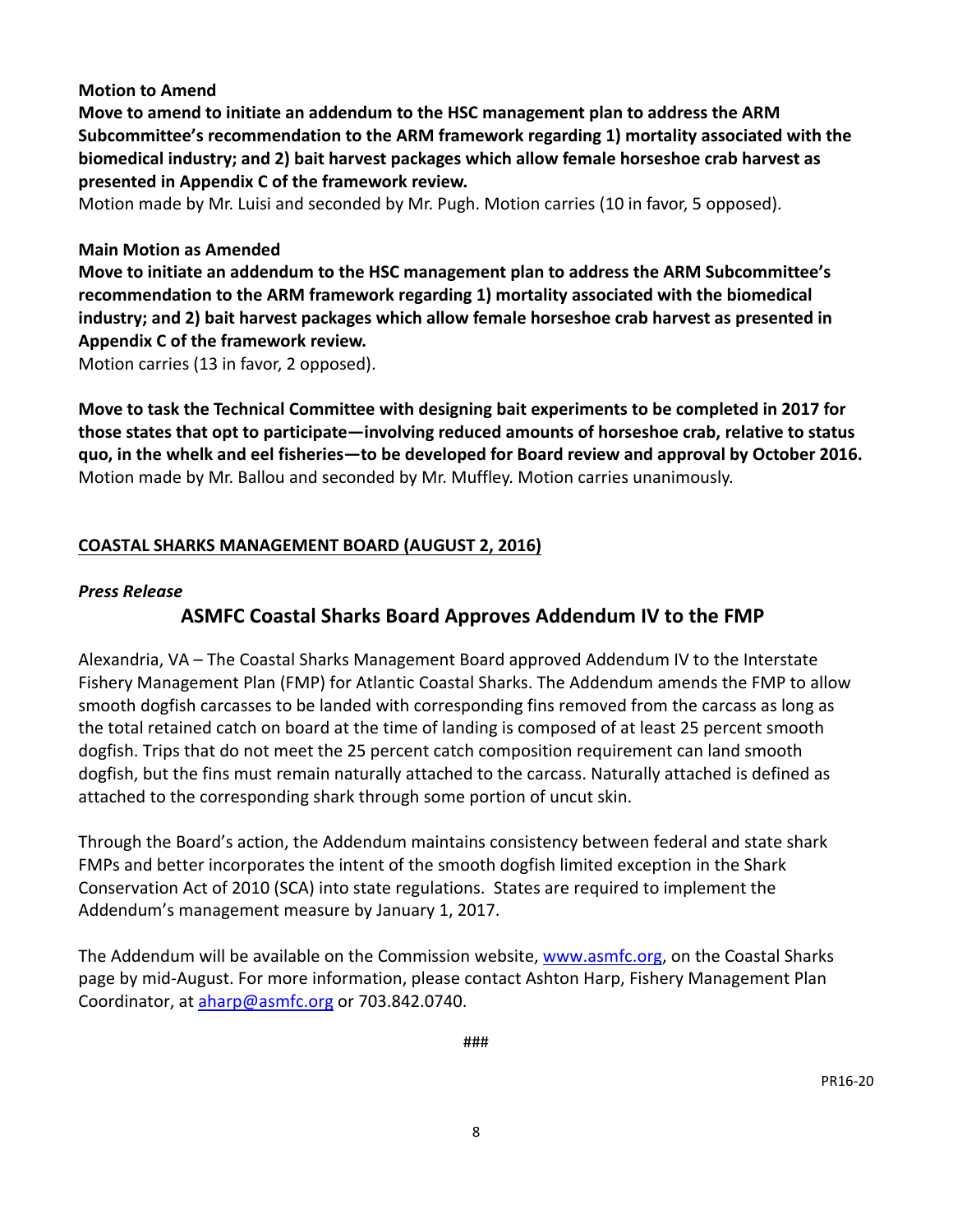### **Motion to Amend**

**Move to amend to initiate an addendum to the HSC management plan to address the ARM Subcommittee's recommendation to the ARM framework regarding 1) mortality associated with the biomedical industry; and 2) bait harvest packages which allow female horseshoe crab harvest as presented in Appendix C of the framework review.** 

Motion made by Mr. Luisi and seconded by Mr. Pugh. Motion carries (10 in favor, 5 opposed).

#### **Main Motion as Amended**

**Move to initiate an addendum to the HSC management plan to address the ARM Subcommittee's recommendation to the ARM framework regarding 1) mortality associated with the biomedical industry; and 2) bait harvest packages which allow female horseshoe crab harvest as presented in Appendix C of the framework review.** 

Motion carries (13 in favor, 2 opposed).

**Move to task the Technical Committee with designing bait experiments to be completed in 2017 for those states that opt to participate—involving reduced amounts of horseshoe crab, relative to status quo, in the whelk and eel fisheries—to be developed for Board review and approval by October 2016.** Motion made by Mr. Ballou and seconded by Mr. Muffley. Motion carries unanimously.

# **COASTAL SHARKS MANAGEMENT BOARD (AUGUST 2, 2016)**

### *Press Release*

# **ASMFC Coastal Sharks Board Approves Addendum IV to the FMP**

Alexandria, VA – The Coastal Sharks Management Board approved Addendum IV to the Interstate Fishery Management Plan (FMP) for Atlantic Coastal Sharks. The Addendum amends the FMP to allow smooth dogfish carcasses to be landed with corresponding fins removed from the carcass as long as the total retained catch on board at the time of landing is composed of at least 25 percent smooth dogfish. Trips that do not meet the 25 percent catch composition requirement can land smooth dogfish, but the fins must remain naturally attached to the carcass. Naturally attached is defined as attached to the corresponding shark through some portion of uncut skin.

Through the Board's action, the Addendum maintains consistency between federal and state shark FMPs and better incorporates the intent of the smooth dogfish limited exception in the Shark Conservation Act of 2010 (SCA) into state regulations. States are required to implement the Addendum's management measure by January 1, 2017.

The Addendum will be available on the Commission website, www.asmfc.org, on the Coastal Sharks page by mid‐August. For more information, please contact Ashton Harp, Fishery Management Plan Coordinator, at aharp@asmfc.org or 703.842.0740.

###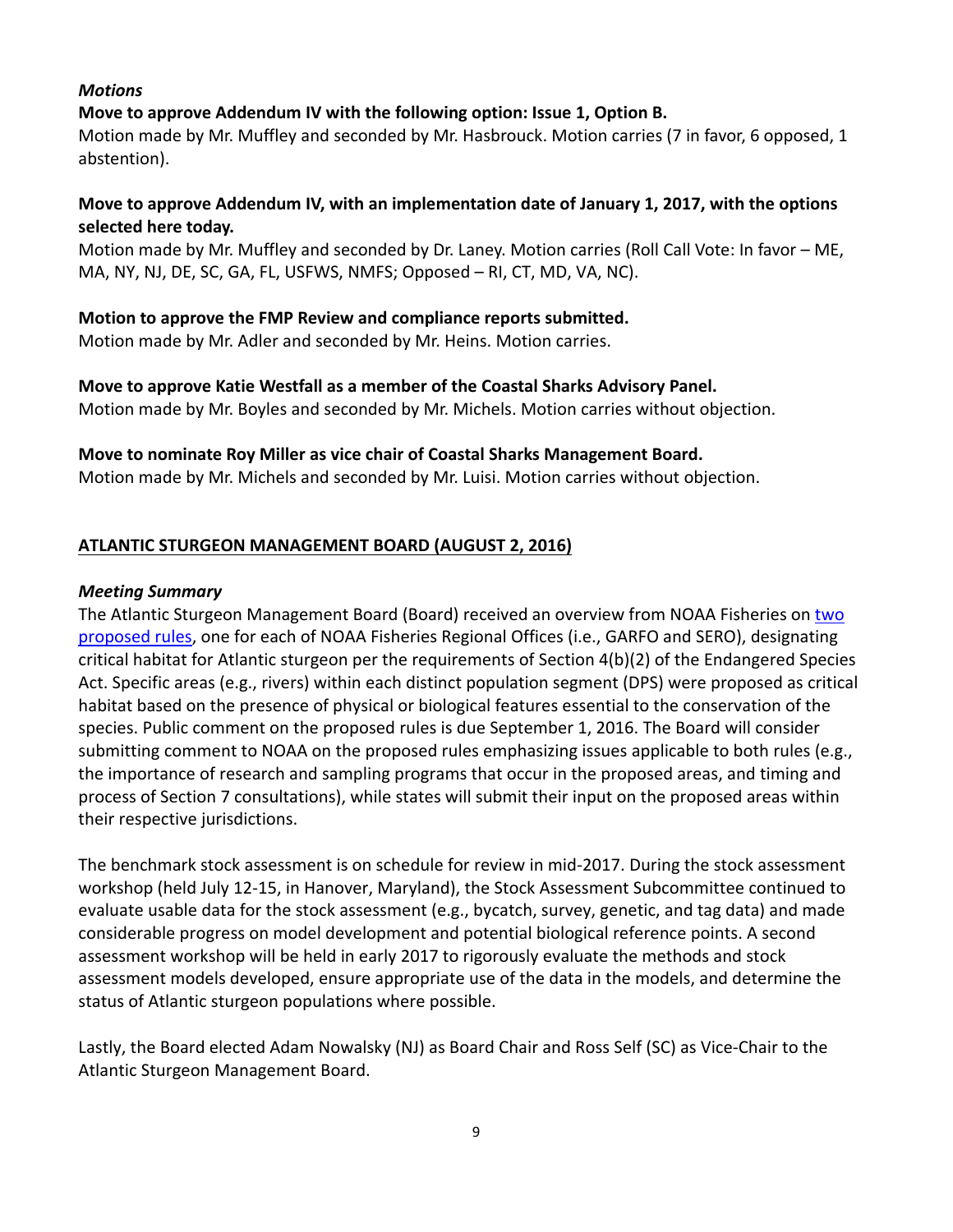### *Motions*

# **Move to approve Addendum IV with the following option: Issue 1, Option B.**

Motion made by Mr. Muffley and seconded by Mr. Hasbrouck. Motion carries (7 in favor, 6 opposed, 1 abstention).

# **Move to approve Addendum IV, with an implementation date of January 1, 2017, with the options selected here today.**

Motion made by Mr. Muffley and seconded by Dr. Laney. Motion carries (Roll Call Vote: In favor – ME, MA, NY, NJ, DE, SC, GA, FL, USFWS, NMFS; Opposed – RI, CT, MD, VA, NC).

# **Motion to approve the FMP Review and compliance reports submitted.**

Motion made by Mr. Adler and seconded by Mr. Heins. Motion carries.

**Move to approve Katie Westfall as a member of the Coastal Sharks Advisory Panel.** 

Motion made by Mr. Boyles and seconded by Mr. Michels. Motion carries without objection.

# **Move to nominate Roy Miller as vice chair of Coastal Sharks Management Board.**

Motion made by Mr. Michels and seconded by Mr. Luisi. Motion carries without objection.

# **ATLANTIC STURGEON MANAGEMENT BOARD (AUGUST 2, 2016)**

### *Meeting Summary*

The Atlantic Sturgeon Management Board (Board) received an overview from NOAA Fisheries on two proposed rules, one for each of NOAA Fisheries Regional Offices (i.e., GARFO and SERO), designating critical habitat for Atlantic sturgeon per the requirements of Section 4(b)(2) of the Endangered Species Act. Specific areas (e.g., rivers) within each distinct population segment (DPS) were proposed as critical habitat based on the presence of physical or biological features essential to the conservation of the species. Public comment on the proposed rules is due September 1, 2016. The Board will consider submitting comment to NOAA on the proposed rules emphasizing issues applicable to both rules (e.g., the importance of research and sampling programs that occur in the proposed areas, and timing and process of Section 7 consultations), while states will submit their input on the proposed areas within their respective jurisdictions.

The benchmark stock assessment is on schedule for review in mid-2017. During the stock assessment workshop (held July 12‐15, in Hanover, Maryland), the Stock Assessment Subcommittee continued to evaluate usable data for the stock assessment (e.g., bycatch, survey, genetic, and tag data) and made considerable progress on model development and potential biological reference points. A second assessment workshop will be held in early 2017 to rigorously evaluate the methods and stock assessment models developed, ensure appropriate use of the data in the models, and determine the status of Atlantic sturgeon populations where possible.

Lastly, the Board elected Adam Nowalsky (NJ) as Board Chair and Ross Self (SC) as Vice‐Chair to the Atlantic Sturgeon Management Board.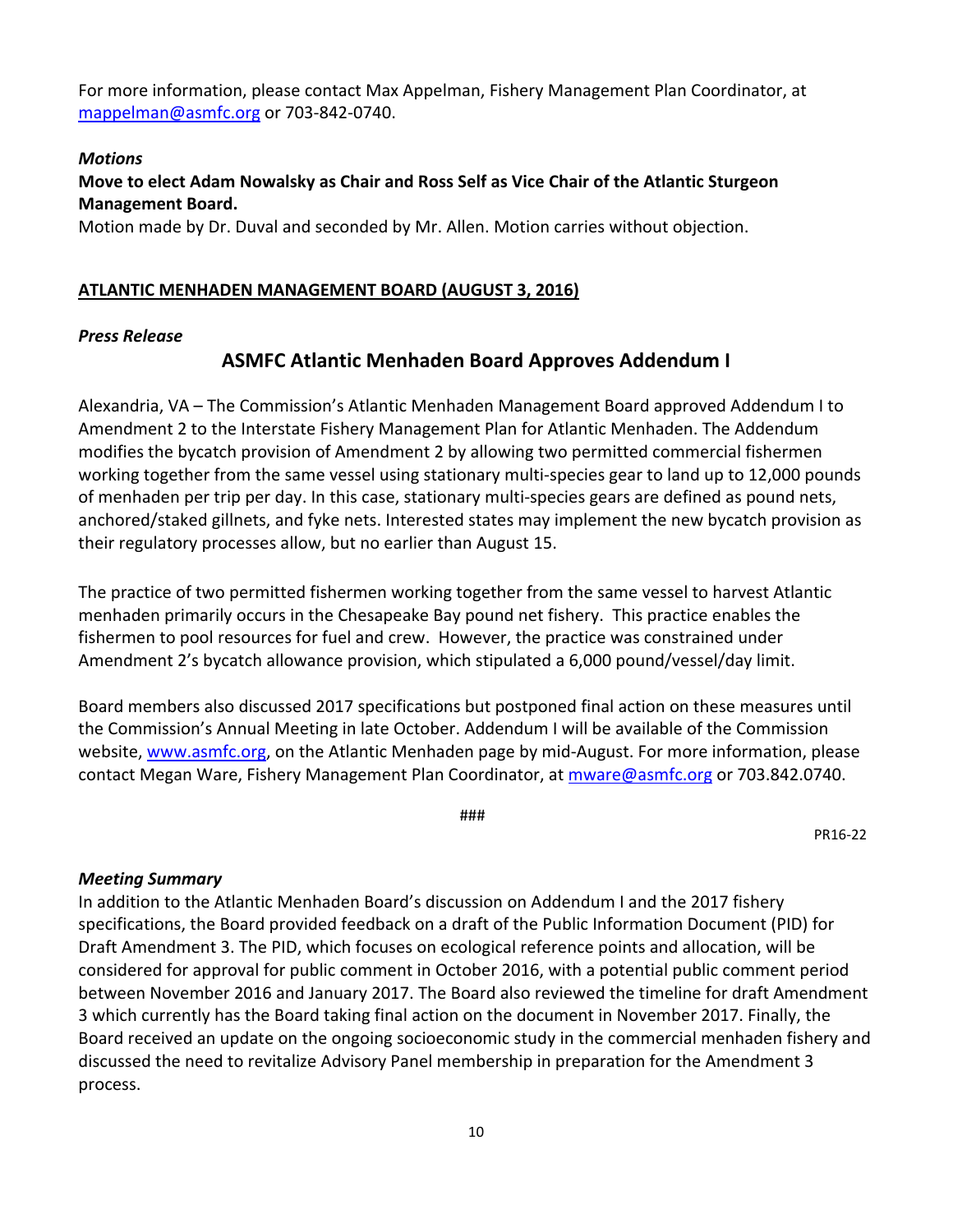For more information, please contact Max Appelman, Fishery Management Plan Coordinator, at mappelman@asmfc.org or 703‐842‐0740.

#### *Motions*

# **Move to elect Adam Nowalsky as Chair and Ross Self as Vice Chair of the Atlantic Sturgeon Management Board.**

Motion made by Dr. Duval and seconded by Mr. Allen. Motion carries without objection.

### **ATLANTIC MENHADEN MANAGEMENT BOARD (AUGUST 3, 2016)**

#### *Press Release*

# **ASMFC Atlantic Menhaden Board Approves Addendum I**

Alexandria, VA – The Commission's Atlantic Menhaden Management Board approved Addendum I to Amendment 2 to the Interstate Fishery Management Plan for Atlantic Menhaden. The Addendum modifies the bycatch provision of Amendment 2 by allowing two permitted commercial fishermen working together from the same vessel using stationary multi‐species gear to land up to 12,000 pounds of menhaden per trip per day. In this case, stationary multi‐species gears are defined as pound nets, anchored/staked gillnets, and fyke nets. Interested states may implement the new bycatch provision as their regulatory processes allow, but no earlier than August 15.

The practice of two permitted fishermen working together from the same vessel to harvest Atlantic menhaden primarily occurs in the Chesapeake Bay pound net fishery. This practice enables the fishermen to pool resources for fuel and crew. However, the practice was constrained under Amendment 2's bycatch allowance provision, which stipulated a 6,000 pound/vessel/day limit.

Board members also discussed 2017 specifications but postponed final action on these measures until the Commission's Annual Meeting in late October. Addendum I will be available of the Commission website, www.asmfc.org, on the Atlantic Menhaden page by mid-August. For more information, please contact Megan Ware, Fishery Management Plan Coordinator, at *mware@asmfc.org* or 703.842.0740.

###

PR16‐22

#### *Meeting Summary*

In addition to the Atlantic Menhaden Board's discussion on Addendum I and the 2017 fishery specifications, the Board provided feedback on a draft of the Public Information Document (PID) for Draft Amendment 3. The PID, which focuses on ecological reference points and allocation, will be considered for approval for public comment in October 2016, with a potential public comment period between November 2016 and January 2017. The Board also reviewed the timeline for draft Amendment 3 which currently has the Board taking final action on the document in November 2017. Finally, the Board received an update on the ongoing socioeconomic study in the commercial menhaden fishery and discussed the need to revitalize Advisory Panel membership in preparation for the Amendment 3 process.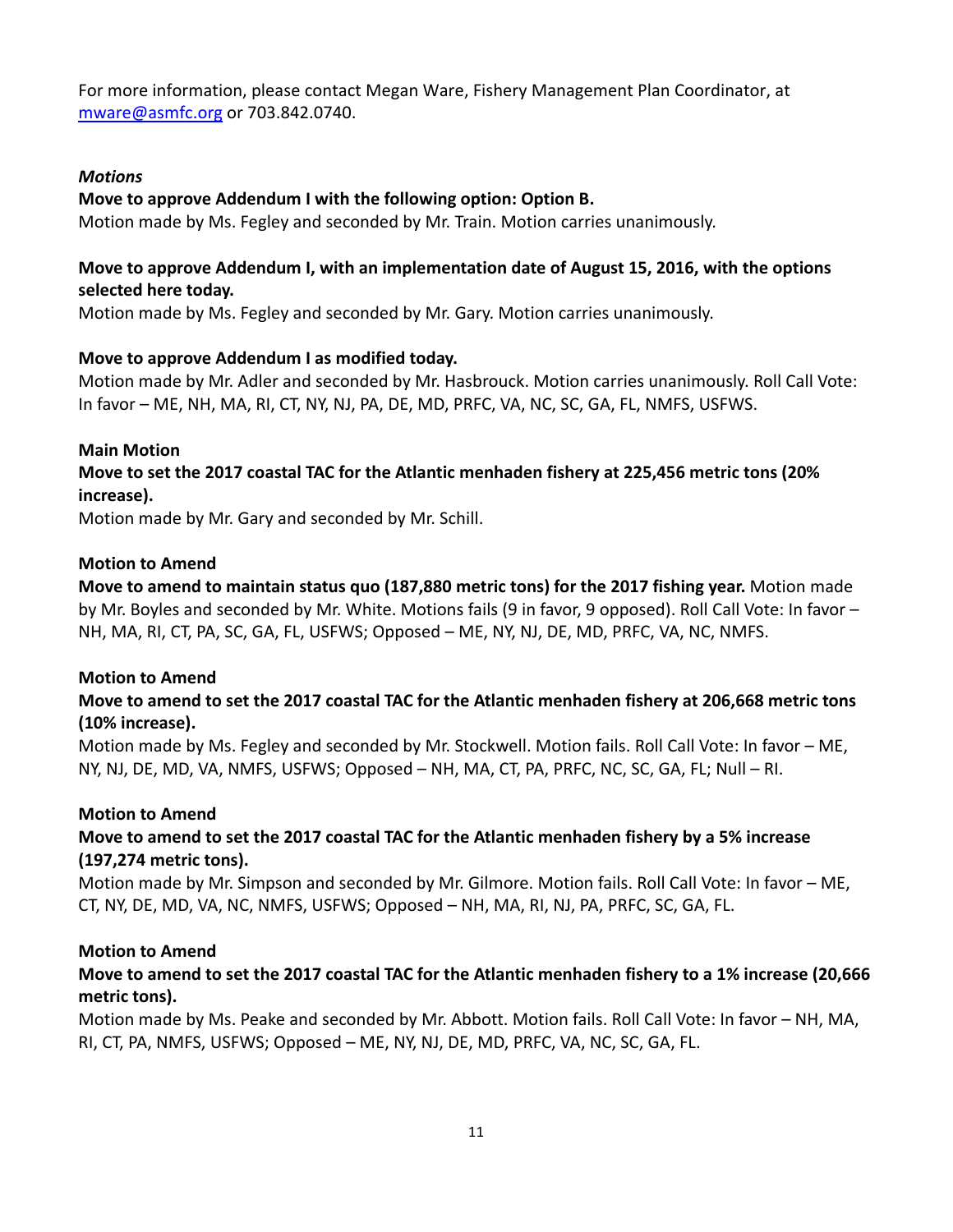For more information, please contact Megan Ware, Fishery Management Plan Coordinator, at mware@asmfc.org or 703.842.0740.

### *Motions*

### **Move to approve Addendum I with the following option: Option B.**

Motion made by Ms. Fegley and seconded by Mr. Train. Motion carries unanimously.

### **Move to approve Addendum I, with an implementation date of August 15, 2016, with the options selected here today.**

Motion made by Ms. Fegley and seconded by Mr. Gary. Motion carries unanimously.

#### **Move to approve Addendum I as modified today.**

Motion made by Mr. Adler and seconded by Mr. Hasbrouck. Motion carries unanimously. Roll Call Vote: In favor – ME, NH, MA, RI, CT, NY, NJ, PA, DE, MD, PRFC, VA, NC, SC, GA, FL, NMFS, USFWS.

### **Main Motion Move to set the 2017 coastal TAC for the Atlantic menhaden fishery at 225,456 metric tons (20% increase).**

Motion made by Mr. Gary and seconded by Mr. Schill.

#### **Motion to Amend**

**Move to amend to maintain status quo (187,880 metric tons) for the 2017 fishing year.** Motion made by Mr. Boyles and seconded by Mr. White. Motions fails (9 in favor, 9 opposed). Roll Call Vote: In favor – NH, MA, RI, CT, PA, SC, GA, FL, USFWS; Opposed – ME, NY, NJ, DE, MD, PRFC, VA, NC, NMFS.

#### **Motion to Amend**

# **Move to amend to set the 2017 coastal TAC for the Atlantic menhaden fishery at 206,668 metric tons (10% increase).**

Motion made by Ms. Fegley and seconded by Mr. Stockwell. Motion fails. Roll Call Vote: In favor – ME, NY, NJ, DE, MD, VA, NMFS, USFWS; Opposed – NH, MA, CT, PA, PRFC, NC, SC, GA, FL; Null – RI.

#### **Motion to Amend**

# **Move to amend to set the 2017 coastal TAC for the Atlantic menhaden fishery by a 5% increase (197,274 metric tons).**

Motion made by Mr. Simpson and seconded by Mr. Gilmore. Motion fails. Roll Call Vote: In favor – ME, CT, NY, DE, MD, VA, NC, NMFS, USFWS; Opposed – NH, MA, RI, NJ, PA, PRFC, SC, GA, FL.

#### **Motion to Amend**

# Move to amend to set the 2017 coastal TAC for the Atlantic menhaden fishery to a 1% increase (20,666 **metric tons).**

Motion made by Ms. Peake and seconded by Mr. Abbott. Motion fails. Roll Call Vote: In favor – NH, MA, RI, CT, PA, NMFS, USFWS; Opposed – ME, NY, NJ, DE, MD, PRFC, VA, NC, SC, GA, FL.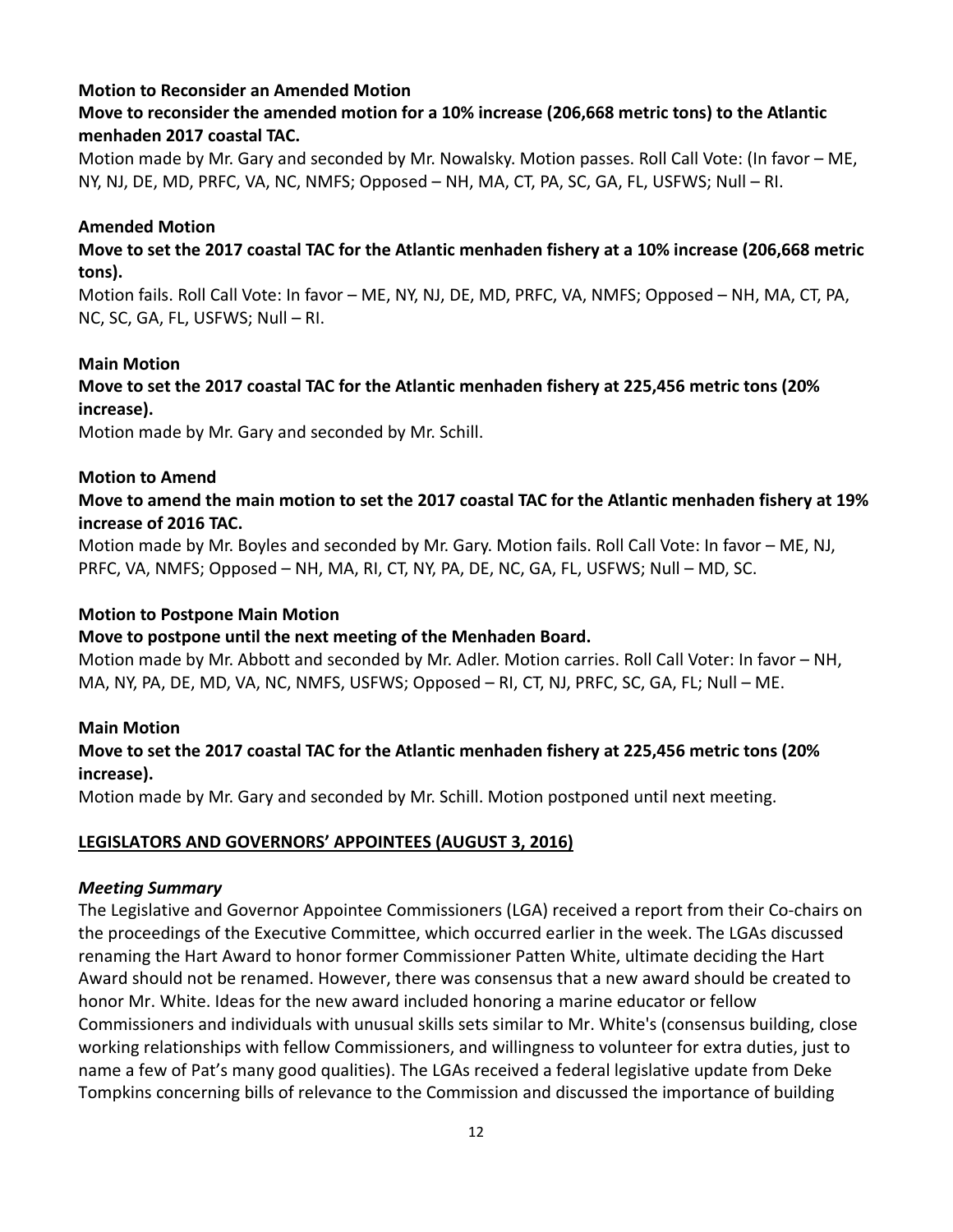### **Motion to Reconsider an Amended Motion**

# **Move to reconsider the amended motion for a 10% increase (206,668 metric tons) to the Atlantic menhaden 2017 coastal TAC.**

Motion made by Mr. Gary and seconded by Mr. Nowalsky. Motion passes. Roll Call Vote: (In favor – ME, NY, NJ, DE, MD, PRFC, VA, NC, NMFS; Opposed – NH, MA, CT, PA, SC, GA, FL, USFWS; Null – RI.

### **Amended Motion**

# Move to set the 2017 coastal TAC for the Atlantic menhaden fishery at a 10% increase (206,668 metric **tons).**

Motion fails. Roll Call Vote: In favor – ME, NY, NJ, DE, MD, PRFC, VA, NMFS; Opposed – NH, MA, CT, PA, NC, SC, GA, FL, USFWS; Null – RI.

#### **Main Motion**

# **Move to set the 2017 coastal TAC for the Atlantic menhaden fishery at 225,456 metric tons (20% increase).**

Motion made by Mr. Gary and seconded by Mr. Schill.

#### **Motion to Amend**

# Move to amend the main motion to set the 2017 coastal TAC for the Atlantic menhaden fishery at 19% **increase of 2016 TAC.**

Motion made by Mr. Boyles and seconded by Mr. Gary. Motion fails. Roll Call Vote: In favor – ME, NJ, PRFC, VA, NMFS; Opposed – NH, MA, RI, CT, NY, PA, DE, NC, GA, FL, USFWS; Null – MD, SC.

#### **Motion to Postpone Main Motion**

#### **Move to postpone until the next meeting of the Menhaden Board.**

Motion made by Mr. Abbott and seconded by Mr. Adler. Motion carries. Roll Call Voter: In favor – NH, MA, NY, PA, DE, MD, VA, NC, NMFS, USFWS; Opposed – RI, CT, NJ, PRFC, SC, GA, FL; Null – ME.

#### **Main Motion**

# **Move to set the 2017 coastal TAC for the Atlantic menhaden fishery at 225,456 metric tons (20% increase).**

Motion made by Mr. Gary and seconded by Mr. Schill. Motion postponed until next meeting.

# **LEGISLATORS AND GOVERNORS' APPOINTEES (AUGUST 3, 2016)**

#### *Meeting Summary*

The Legislative and Governor Appointee Commissioners (LGA) received a report from their Co‐chairs on the proceedings of the Executive Committee, which occurred earlier in the week. The LGAs discussed renaming the Hart Award to honor former Commissioner Patten White, ultimate deciding the Hart Award should not be renamed. However, there was consensus that a new award should be created to honor Mr. White. Ideas for the new award included honoring a marine educator or fellow Commissioners and individuals with unusual skills sets similar to Mr. White's (consensus building, close working relationships with fellow Commissioners, and willingness to volunteer for extra duties, just to name a few of Pat's many good qualities). The LGAs received a federal legislative update from Deke Tompkins concerning bills of relevance to the Commission and discussed the importance of building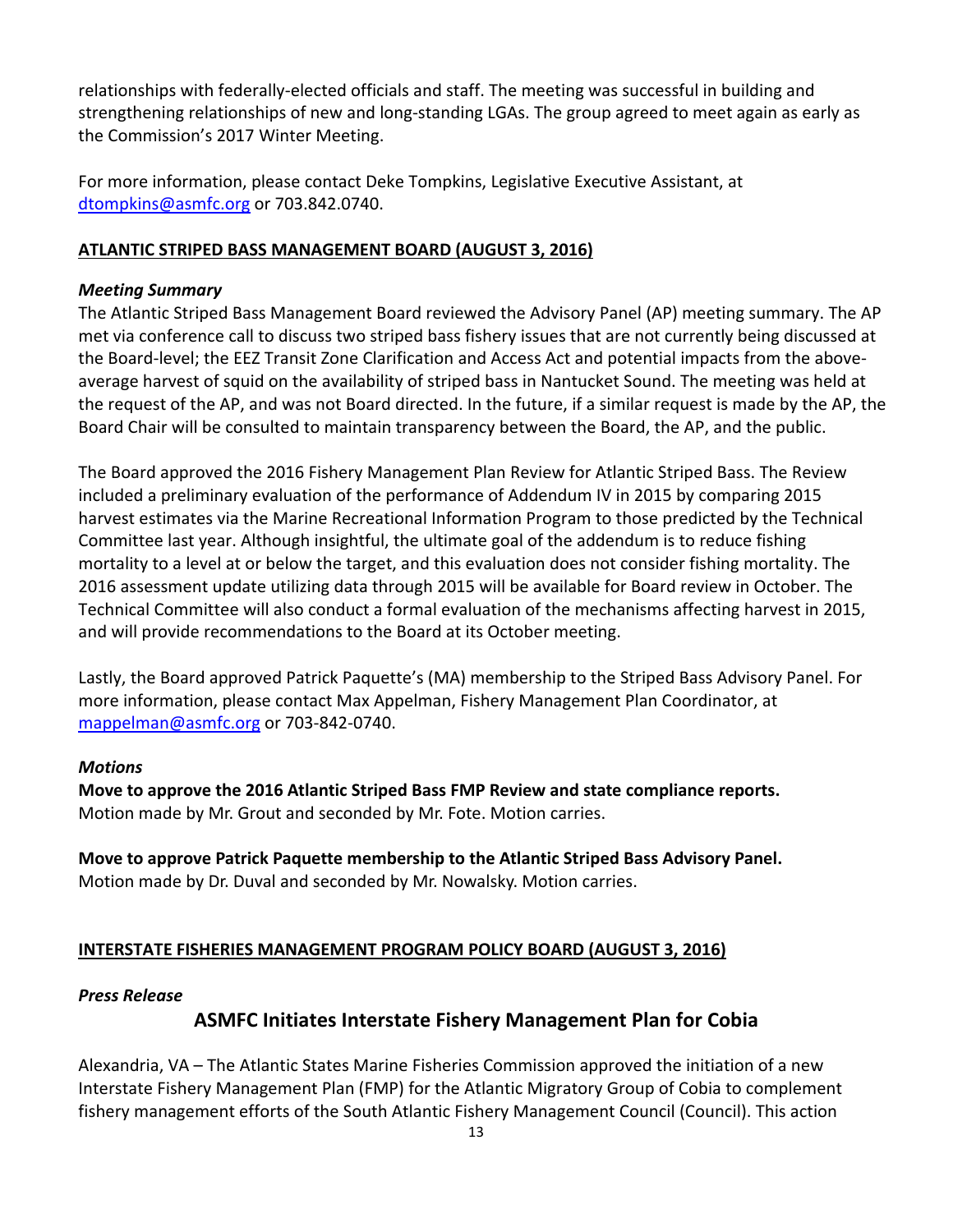relationships with federally‐elected officials and staff. The meeting was successful in building and strengthening relationships of new and long‐standing LGAs. The group agreed to meet again as early as the Commission's 2017 Winter Meeting.

For more information, please contact Deke Tompkins, Legislative Executive Assistant, at dtompkins@asmfc.org or 703.842.0740.

# **ATLANTIC STRIPED BASS MANAGEMENT BOARD (AUGUST 3, 2016)**

# *Meeting Summary*

The Atlantic Striped Bass Management Board reviewed the Advisory Panel (AP) meeting summary. The AP met via conference call to discuss two striped bass fishery issues that are not currently being discussed at the Board‐level; the EEZ Transit Zone Clarification and Access Act and potential impacts from the above‐ average harvest of squid on the availability of striped bass in Nantucket Sound. The meeting was held at the request of the AP, and was not Board directed. In the future, if a similar request is made by the AP, the Board Chair will be consulted to maintain transparency between the Board, the AP, and the public.

The Board approved the 2016 Fishery Management Plan Review for Atlantic Striped Bass. The Review included a preliminary evaluation of the performance of Addendum IV in 2015 by comparing 2015 harvest estimates via the Marine Recreational Information Program to those predicted by the Technical Committee last year. Although insightful, the ultimate goal of the addendum is to reduce fishing mortality to a level at or below the target, and this evaluation does not consider fishing mortality. The 2016 assessment update utilizing data through 2015 will be available for Board review in October. The Technical Committee will also conduct a formal evaluation of the mechanisms affecting harvest in 2015, and will provide recommendations to the Board at its October meeting.

Lastly, the Board approved Patrick Paquette's (MA) membership to the Striped Bass Advisory Panel. For more information, please contact Max Appelman, Fishery Management Plan Coordinator, at mappelman@asmfc.org or 703-842-0740.

# *Motions*

**Move to approve the 2016 Atlantic Striped Bass FMP Review and state compliance reports.**  Motion made by Mr. Grout and seconded by Mr. Fote. Motion carries.

**Move to approve Patrick Paquette membership to the Atlantic Striped Bass Advisory Panel.**  Motion made by Dr. Duval and seconded by Mr. Nowalsky. Motion carries.

# **INTERSTATE FISHERIES MANAGEMENT PROGRAM POLICY BOARD (AUGUST 3, 2016)**

# *Press Release*

# **ASMFC Initiates Interstate Fishery Management Plan for Cobia**

Alexandria, VA – The Atlantic States Marine Fisheries Commission approved the initiation of a new Interstate Fishery Management Plan (FMP) for the Atlantic Migratory Group of Cobia to complement fishery management efforts of the South Atlantic Fishery Management Council (Council). This action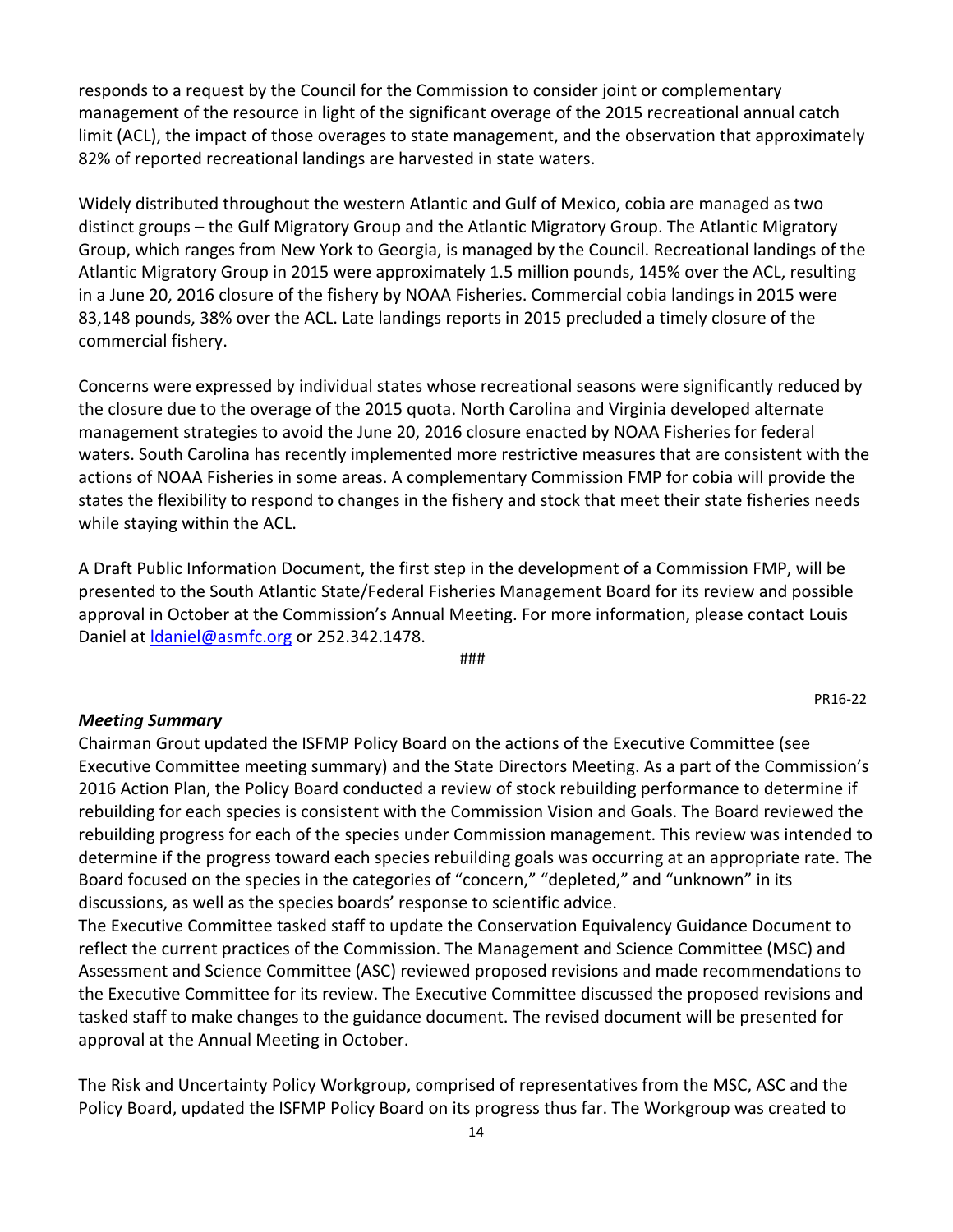responds to a request by the Council for the Commission to consider joint or complementary management of the resource in light of the significant overage of the 2015 recreational annual catch limit (ACL), the impact of those overages to state management, and the observation that approximately 82% of reported recreational landings are harvested in state waters.

Widely distributed throughout the western Atlantic and Gulf of Mexico, cobia are managed as two distinct groups – the Gulf Migratory Group and the Atlantic Migratory Group. The Atlantic Migratory Group, which ranges from New York to Georgia, is managed by the Council. Recreational landings of the Atlantic Migratory Group in 2015 were approximately 1.5 million pounds, 145% over the ACL, resulting in a June 20, 2016 closure of the fishery by NOAA Fisheries. Commercial cobia landings in 2015 were 83,148 pounds, 38% over the ACL. Late landings reports in 2015 precluded a timely closure of the commercial fishery.

Concerns were expressed by individual states whose recreational seasons were significantly reduced by the closure due to the overage of the 2015 quota. North Carolina and Virginia developed alternate management strategies to avoid the June 20, 2016 closure enacted by NOAA Fisheries for federal waters. South Carolina has recently implemented more restrictive measures that are consistent with the actions of NOAA Fisheries in some areas. A complementary Commission FMP for cobia will provide the states the flexibility to respond to changes in the fishery and stock that meet their state fisheries needs while staying within the ACL.

A Draft Public Information Document, the first step in the development of a Commission FMP, will be presented to the South Atlantic State/Federal Fisheries Management Board for its review and possible approval in October at the Commission's Annual Meeting. For more information, please contact Louis Daniel at *daniel@asmfc.org* or 252.342.1478.

###

*Meeting Summary*

Chairman Grout updated the ISFMP Policy Board on the actions of the Executive Committee (see Executive Committee meeting summary) and the State Directors Meeting. As a part of the Commission's 2016 Action Plan, the Policy Board conducted a review of stock rebuilding performance to determine if rebuilding for each species is consistent with the Commission Vision and Goals. The Board reviewed the rebuilding progress for each of the species under Commission management. This review was intended to determine if the progress toward each species rebuilding goals was occurring at an appropriate rate. The Board focused on the species in the categories of "concern," "depleted," and "unknown" in its discussions, as well as the species boards' response to scientific advice.

The Executive Committee tasked staff to update the Conservation Equivalency Guidance Document to reflect the current practices of the Commission. The Management and Science Committee (MSC) and Assessment and Science Committee (ASC) reviewed proposed revisions and made recommendations to the Executive Committee for its review. The Executive Committee discussed the proposed revisions and tasked staff to make changes to the guidance document. The revised document will be presented for approval at the Annual Meeting in October.

The Risk and Uncertainty Policy Workgroup, comprised of representatives from the MSC, ASC and the Policy Board, updated the ISFMP Policy Board on its progress thus far. The Workgroup was created to

PR16‐22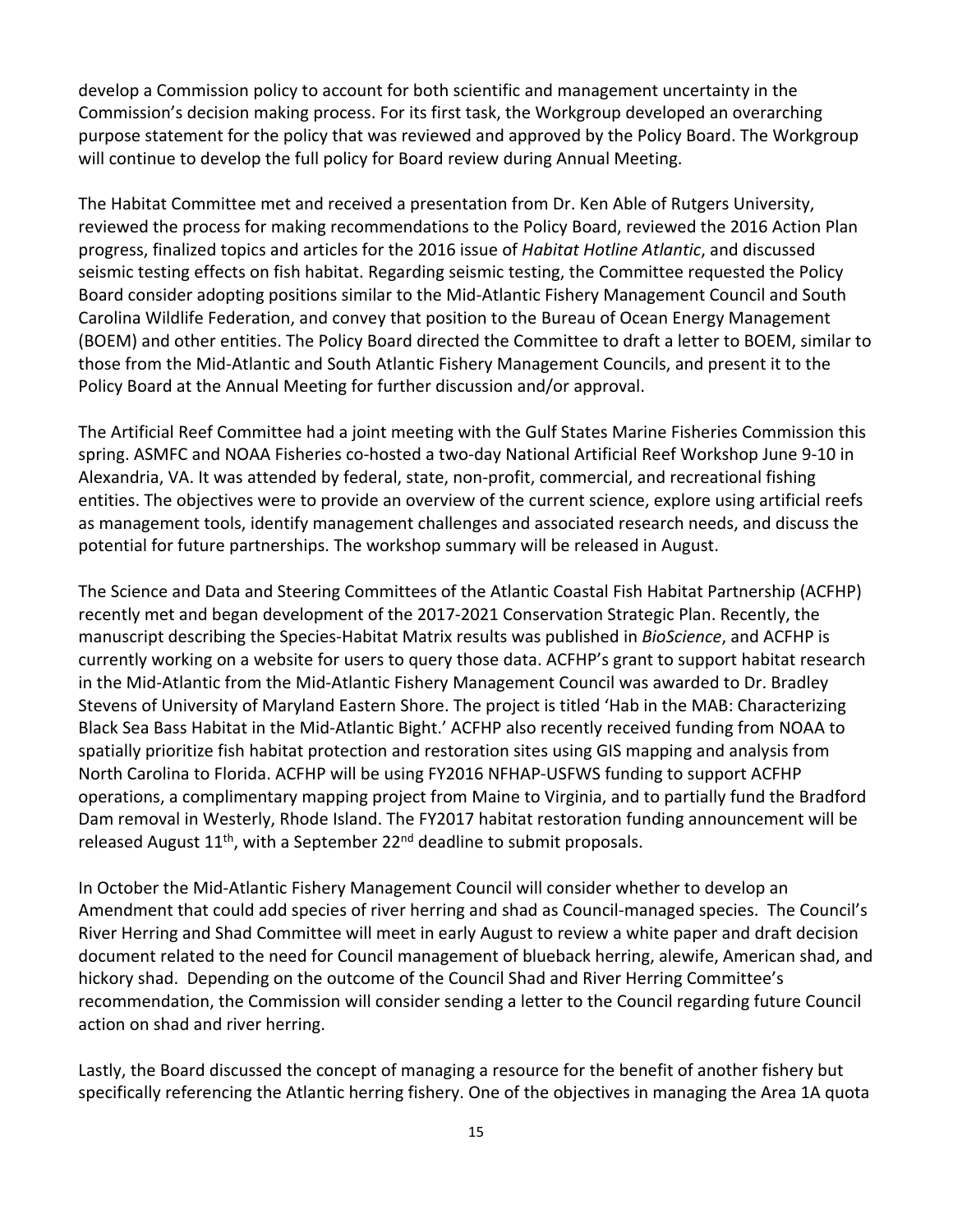develop a Commission policy to account for both scientific and management uncertainty in the Commission's decision making process. For its first task, the Workgroup developed an overarching purpose statement for the policy that was reviewed and approved by the Policy Board. The Workgroup will continue to develop the full policy for Board review during Annual Meeting.

The Habitat Committee met and received a presentation from Dr. Ken Able of Rutgers University, reviewed the process for making recommendations to the Policy Board, reviewed the 2016 Action Plan progress, finalized topics and articles for the 2016 issue of *Habitat Hotline Atlantic*, and discussed seismic testing effects on fish habitat. Regarding seismic testing, the Committee requested the Policy Board consider adopting positions similar to the Mid‐Atlantic Fishery Management Council and South Carolina Wildlife Federation, and convey that position to the Bureau of Ocean Energy Management (BOEM) and other entities. The Policy Board directed the Committee to draft a letter to BOEM, similar to those from the Mid‐Atlantic and South Atlantic Fishery Management Councils, and present it to the Policy Board at the Annual Meeting for further discussion and/or approval.

The Artificial Reef Committee had a joint meeting with the Gulf States Marine Fisheries Commission this spring. ASMFC and NOAA Fisheries co-hosted a two-day National Artificial Reef Workshop June 9-10 in Alexandria, VA. It was attended by federal, state, non‐profit, commercial, and recreational fishing entities. The objectives were to provide an overview of the current science, explore using artificial reefs as management tools, identify management challenges and associated research needs, and discuss the potential for future partnerships. The workshop summary will be released in August.

The Science and Data and Steering Committees of the Atlantic Coastal Fish Habitat Partnership (ACFHP) recently met and began development of the 2017‐2021 Conservation Strategic Plan. Recently, the manuscript describing the Species‐Habitat Matrix results was published in *BioScience*, and ACFHP is currently working on a website for users to query those data. ACFHP's grant to support habitat research in the Mid‐Atlantic from the Mid‐Atlantic Fishery Management Council was awarded to Dr. Bradley Stevens of University of Maryland Eastern Shore. The project is titled 'Hab in the MAB: Characterizing Black Sea Bass Habitat in the Mid‐Atlantic Bight.' ACFHP also recently received funding from NOAA to spatially prioritize fish habitat protection and restoration sites using GIS mapping and analysis from North Carolina to Florida. ACFHP will be using FY2016 NFHAP‐USFWS funding to support ACFHP operations, a complimentary mapping project from Maine to Virginia, and to partially fund the Bradford Dam removal in Westerly, Rhode Island. The FY2017 habitat restoration funding announcement will be released August  $11<sup>th</sup>$ , with a September 22<sup>nd</sup> deadline to submit proposals.

In October the Mid‐Atlantic Fishery Management Council will consider whether to develop an Amendment that could add species of river herring and shad as Council‐managed species. The Council's River Herring and Shad Committee will meet in early August to review a white paper and draft decision document related to the need for Council management of blueback herring, alewife, American shad, and hickory shad. Depending on the outcome of the Council Shad and River Herring Committee's recommendation, the Commission will consider sending a letter to the Council regarding future Council action on shad and river herring.

Lastly, the Board discussed the concept of managing a resource for the benefit of another fishery but specifically referencing the Atlantic herring fishery. One of the objectives in managing the Area 1A quota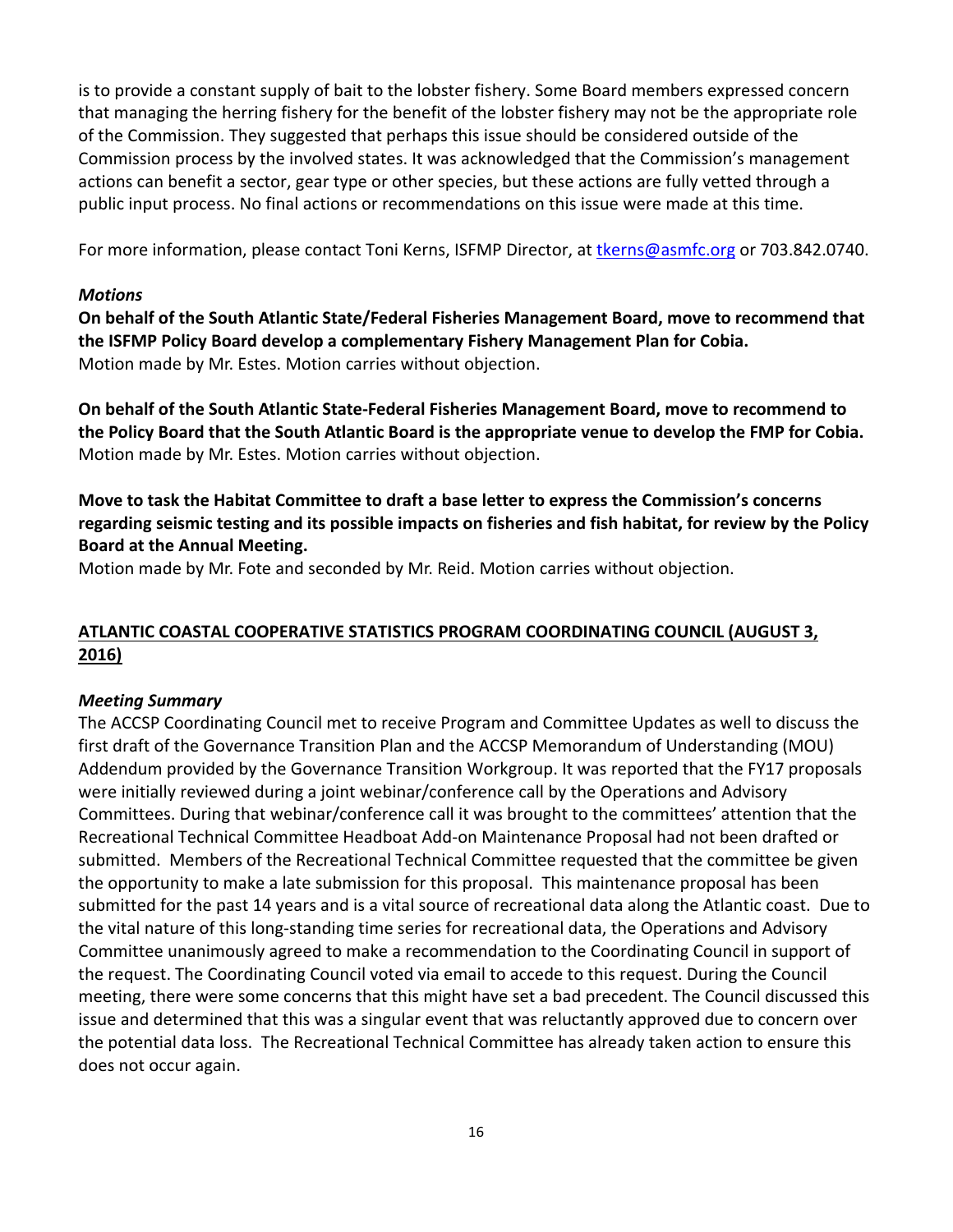is to provide a constant supply of bait to the lobster fishery. Some Board members expressed concern that managing the herring fishery for the benefit of the lobster fishery may not be the appropriate role of the Commission. They suggested that perhaps this issue should be considered outside of the Commission process by the involved states. It was acknowledged that the Commission's management actions can benefit a sector, gear type or other species, but these actions are fully vetted through a public input process. No final actions or recommendations on this issue were made at this time.

For more information, please contact Toni Kerns, ISFMP Director, at the rns@asmfc.org or 703.842.0740.

#### *Motions*

**On behalf of the South Atlantic State/Federal Fisheries Management Board, move to recommend that the ISFMP Policy Board develop a complementary Fishery Management Plan for Cobia.**  Motion made by Mr. Estes. Motion carries without objection.

**On behalf of the South Atlantic State‐Federal Fisheries Management Board, move to recommend to** the Policy Board that the South Atlantic Board is the appropriate venue to develop the FMP for Cobia. Motion made by Mr. Estes. Motion carries without objection.

# **Move to task the Habitat Committee to draft a base letter to express the Commission's concerns** regarding seismic testing and its possible impacts on fisheries and fish habitat, for review by the Policy **Board at the Annual Meeting.**

Motion made by Mr. Fote and seconded by Mr. Reid. Motion carries without objection.

# **ATLANTIC COASTAL COOPERATIVE STATISTICS PROGRAM COORDINATING COUNCIL (AUGUST 3, 2016)**

#### *Meeting Summary*

The ACCSP Coordinating Council met to receive Program and Committee Updates as well to discuss the first draft of the Governance Transition Plan and the ACCSP Memorandum of Understanding (MOU) Addendum provided by the Governance Transition Workgroup. It was reported that the FY17 proposals were initially reviewed during a joint webinar/conference call by the Operations and Advisory Committees. During that webinar/conference call it was brought to the committees' attention that the Recreational Technical Committee Headboat Add‐on Maintenance Proposal had not been drafted or submitted. Members of the Recreational Technical Committee requested that the committee be given the opportunity to make a late submission for this proposal. This maintenance proposal has been submitted for the past 14 years and is a vital source of recreational data along the Atlantic coast. Due to the vital nature of this long‐standing time series for recreational data, the Operations and Advisory Committee unanimously agreed to make a recommendation to the Coordinating Council in support of the request. The Coordinating Council voted via email to accede to this request. During the Council meeting, there were some concerns that this might have set a bad precedent. The Council discussed this issue and determined that this was a singular event that was reluctantly approved due to concern over the potential data loss. The Recreational Technical Committee has already taken action to ensure this does not occur again.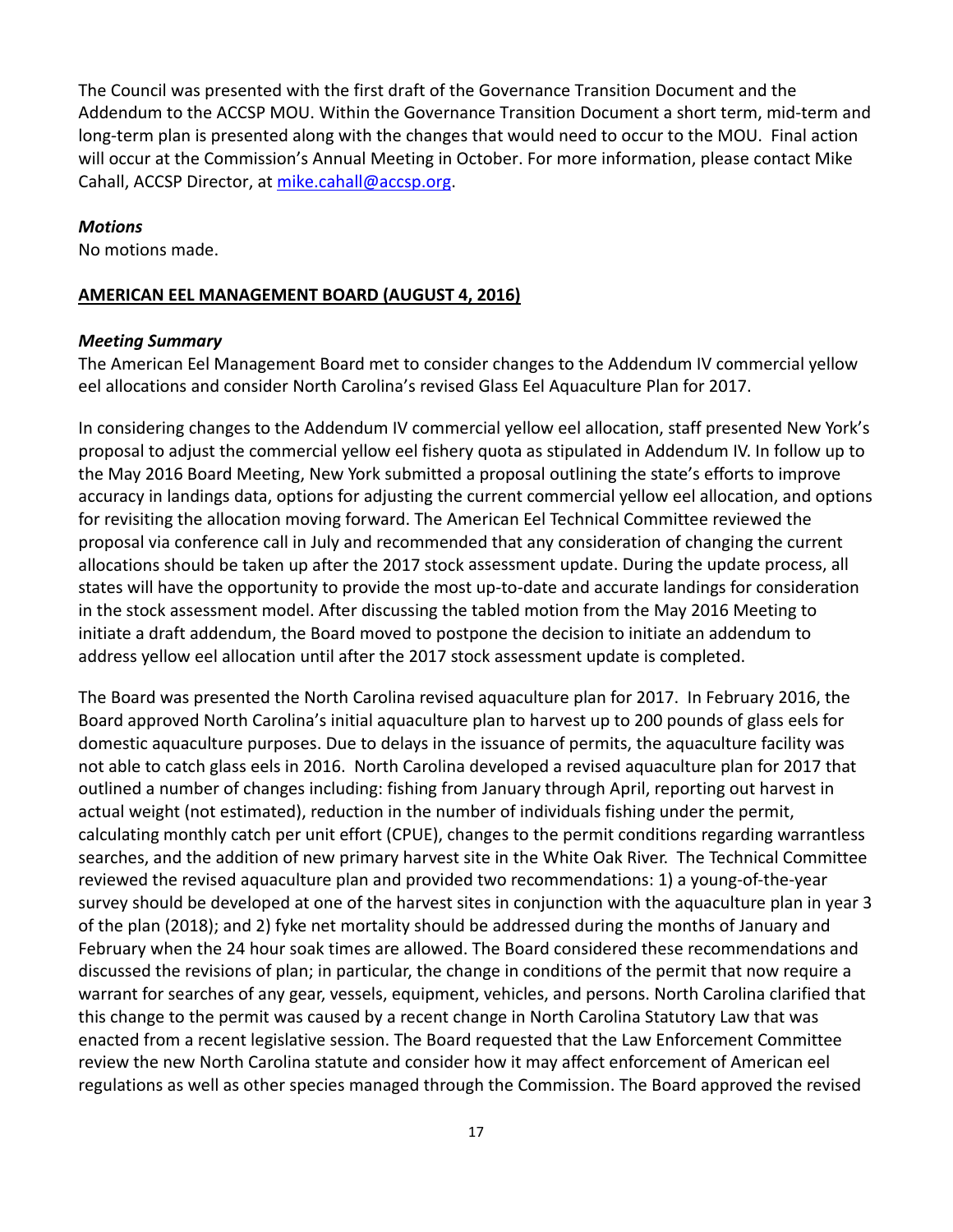The Council was presented with the first draft of the Governance Transition Document and the Addendum to the ACCSP MOU. Within the Governance Transition Document a short term, mid‐term and long-term plan is presented along with the changes that would need to occur to the MOU. Final action will occur at the Commission's Annual Meeting in October. For more information, please contact Mike Cahall, ACCSP Director, at mike.cahall@accsp.org.

#### *Motions*

No motions made.

#### **AMERICAN EEL MANAGEMENT BOARD (AUGUST 4, 2016)**

#### *Meeting Summary*

The American Eel Management Board met to consider changes to the Addendum IV commercial yellow eel allocations and consider North Carolina's revised Glass Eel Aquaculture Plan for 2017.

In considering changes to the Addendum IV commercial yellow eel allocation, staff presented New York's proposal to adjust the commercial yellow eel fishery quota as stipulated in Addendum IV. In follow up to the May 2016 Board Meeting, New York submitted a proposal outlining the state's efforts to improve accuracy in landings data, options for adjusting the current commercial yellow eel allocation, and options for revisiting the allocation moving forward. The American Eel Technical Committee reviewed the proposal via conference call in July and recommended that any consideration of changing the current allocations should be taken up after the 2017 stock assessment update. During the update process, all states will have the opportunity to provide the most up‐to‐date and accurate landings for consideration in the stock assessment model. After discussing the tabled motion from the May 2016 Meeting to initiate a draft addendum, the Board moved to postpone the decision to initiate an addendum to address yellow eel allocation until after the 2017 stock assessment update is completed.

The Board was presented the North Carolina revised aquaculture plan for 2017. In February 2016, the Board approved North Carolina's initial aquaculture plan to harvest up to 200 pounds of glass eels for domestic aquaculture purposes. Due to delays in the issuance of permits, the aquaculture facility was not able to catch glass eels in 2016. North Carolina developed a revised aquaculture plan for 2017 that outlined a number of changes including: fishing from January through April, reporting out harvest in actual weight (not estimated), reduction in the number of individuals fishing under the permit, calculating monthly catch per unit effort (CPUE), changes to the permit conditions regarding warrantless searches, and the addition of new primary harvest site in the White Oak River. The Technical Committee reviewed the revised aquaculture plan and provided two recommendations: 1) a young‐of‐the‐year survey should be developed at one of the harvest sites in conjunction with the aquaculture plan in year 3 of the plan (2018); and 2) fyke net mortality should be addressed during the months of January and February when the 24 hour soak times are allowed. The Board considered these recommendations and discussed the revisions of plan; in particular, the change in conditions of the permit that now require a warrant for searches of any gear, vessels, equipment, vehicles, and persons. North Carolina clarified that this change to the permit was caused by a recent change in North Carolina Statutory Law that was enacted from a recent legislative session. The Board requested that the Law Enforcement Committee review the new North Carolina statute and consider how it may affect enforcement of American eel regulations as well as other species managed through the Commission. The Board approved the revised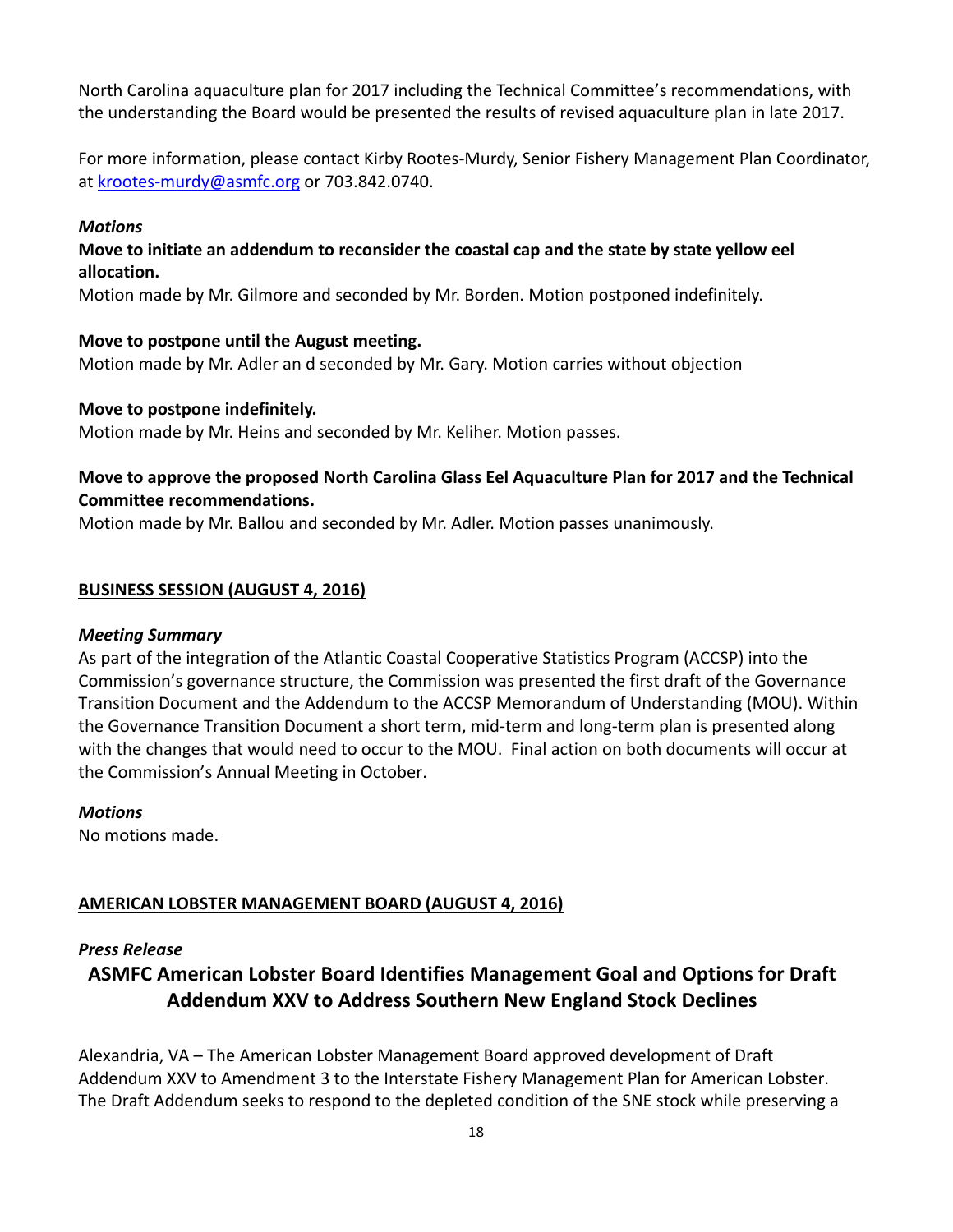North Carolina aquaculture plan for 2017 including the Technical Committee's recommendations, with the understanding the Board would be presented the results of revised aquaculture plan in late 2017.

For more information, please contact Kirby Rootes‐Murdy, Senior Fishery Management Plan Coordinator, at krootes‐murdy@asmfc.org or 703.842.0740.

#### *Motions*

### **Move to initiate an addendum to reconsider the coastal cap and the state by state yellow eel allocation.**

Motion made by Mr. Gilmore and seconded by Mr. Borden. Motion postponed indefinitely.

#### **Move to postpone until the August meeting.**

Motion made by Mr. Adler an d seconded by Mr. Gary. Motion carries without objection

### **Move to postpone indefinitely.**

Motion made by Mr. Heins and seconded by Mr. Keliher. Motion passes.

# **Move to approve the proposed North Carolina Glass Eel Aquaculture Plan for 2017 and the Technical Committee recommendations.**

Motion made by Mr. Ballou and seconded by Mr. Adler. Motion passes unanimously.

### **BUSINESS SESSION (AUGUST 4, 2016)**

#### *Meeting Summary*

As part of the integration of the Atlantic Coastal Cooperative Statistics Program (ACCSP) into the Commission's governance structure, the Commission was presented the first draft of the Governance Transition Document and the Addendum to the ACCSP Memorandum of Understanding (MOU). Within the Governance Transition Document a short term, mid-term and long-term plan is presented along with the changes that would need to occur to the MOU. Final action on both documents will occur at the Commission's Annual Meeting in October.

#### *Motions*

No motions made.

# **AMERICAN LOBSTER MANAGEMENT BOARD (AUGUST 4, 2016)**

#### *Press Release*

# **ASMFC American Lobster Board Identifies Management Goal and Options for Draft Addendum XXV to Address Southern New England Stock Declines**

Alexandria, VA – The American Lobster Management Board approved development of Draft Addendum XXV to Amendment 3 to the Interstate Fishery Management Plan for American Lobster. The Draft Addendum seeks to respond to the depleted condition of the SNE stock while preserving a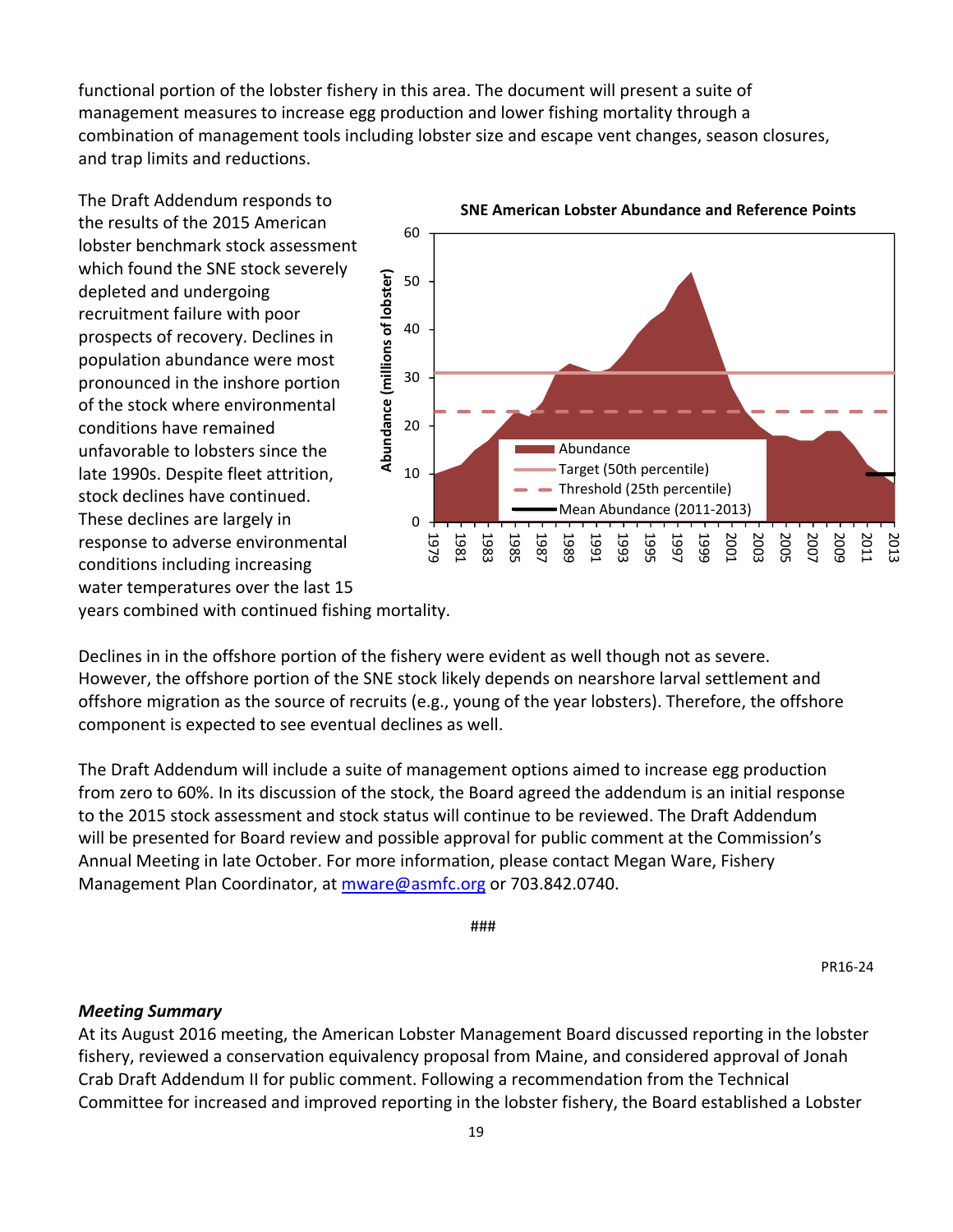functional portion of the lobster fishery in this area. The document will present a suite of management measures to increase egg production and lower fishing mortality through a combination of management tools including lobster size and escape vent changes, season closures, and trap limits and reductions.

The Draft Addendum responds to the results of the 2015 American lobster benchmark stock assessment which found the SNE stock severely depleted and undergoing recruitment failure with poor prospects of recovery. Declines in population abundance were most pronounced in the inshore portion of the stock where environmental conditions have remained unfavorable to lobsters since the late 1990s. Despite fleet attrition, stock declines have continued. These declines are largely in response to adverse environmental conditions including increasing water temperatures over the last 15 years combined with continued fishing mortality.



Declines in in the offshore portion of the fishery were evident as well though not as severe. However, the offshore portion of the SNE stock likely depends on nearshore larval settlement and

offshore migration as the source of recruits (e.g., young of the year lobsters). Therefore, the offshore component is expected to see eventual declines as well.

The Draft Addendum will include a suite of management options aimed to increase egg production from zero to 60%. In its discussion of the stock, the Board agreed the addendum is an initial response to the 2015 stock assessment and stock status will continue to be reviewed. The Draft Addendum will be presented for Board review and possible approval for public comment at the Commission's Annual Meeting in late October. For more information, please contact Megan Ware, Fishery Management Plan Coordinator, at mware@asmfc.org or 703.842.0740.

###

PR16‐24

#### *Meeting Summary*

At its August 2016 meeting, the American Lobster Management Board discussed reporting in the lobster fishery, reviewed a conservation equivalency proposal from Maine, and considered approval of Jonah Crab Draft Addendum II for public comment. Following a recommendation from the Technical Committee for increased and improved reporting in the lobster fishery, the Board established a Lobster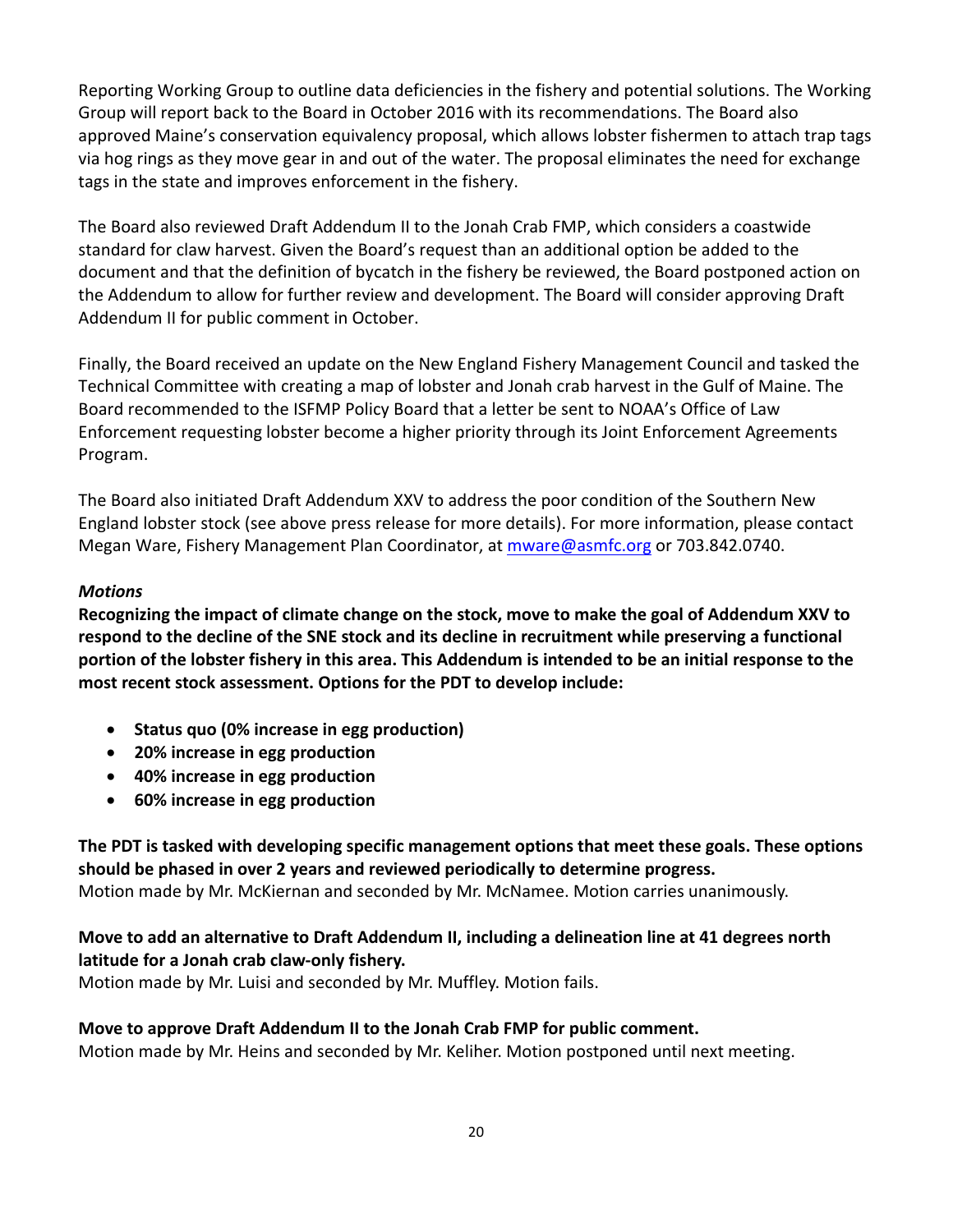Reporting Working Group to outline data deficiencies in the fishery and potential solutions. The Working Group will report back to the Board in October 2016 with its recommendations. The Board also approved Maine's conservation equivalency proposal, which allows lobster fishermen to attach trap tags via hog rings as they move gear in and out of the water. The proposal eliminates the need for exchange tags in the state and improves enforcement in the fishery.

The Board also reviewed Draft Addendum II to the Jonah Crab FMP, which considers a coastwide standard for claw harvest. Given the Board's request than an additional option be added to the document and that the definition of bycatch in the fishery be reviewed, the Board postponed action on the Addendum to allow for further review and development. The Board will consider approving Draft Addendum II for public comment in October.

Finally, the Board received an update on the New England Fishery Management Council and tasked the Technical Committee with creating a map of lobster and Jonah crab harvest in the Gulf of Maine. The Board recommended to the ISFMP Policy Board that a letter be sent to NOAA's Office of Law Enforcement requesting lobster become a higher priority through its Joint Enforcement Agreements Program.

The Board also initiated Draft Addendum XXV to address the poor condition of the Southern New England lobster stock (see above press release for more details). For more information, please contact Megan Ware, Fishery Management Plan Coordinator, at mware@asmfc.org or 703.842.0740.

### *Motions*

**Recognizing the impact of climate change on the stock, move to make the goal of Addendum XXV to respond to the decline of the SNE stock and its decline in recruitment while preserving a functional** portion of the lobster fishery in this area. This Addendum is intended to be an initial response to the **most recent stock assessment. Options for the PDT to develop include:** 

- **Status quo (0% increase in egg production)**
- **20% increase in egg production**
- **40% increase in egg production**
- **60% increase in egg production**

**The PDT is tasked with developing specific management options that meet these goals. These options should be phased in over 2 years and reviewed periodically to determine progress.**  Motion made by Mr. McKiernan and seconded by Mr. McNamee. Motion carries unanimously.

# **Move to add an alternative to Draft Addendum II, including a delineation line at 41 degrees north latitude for a Jonah crab claw‐only fishery.**

Motion made by Mr. Luisi and seconded by Mr. Muffley. Motion fails.

# **Move to approve Draft Addendum II to the Jonah Crab FMP for public comment.**

Motion made by Mr. Heins and seconded by Mr. Keliher. Motion postponed until next meeting.